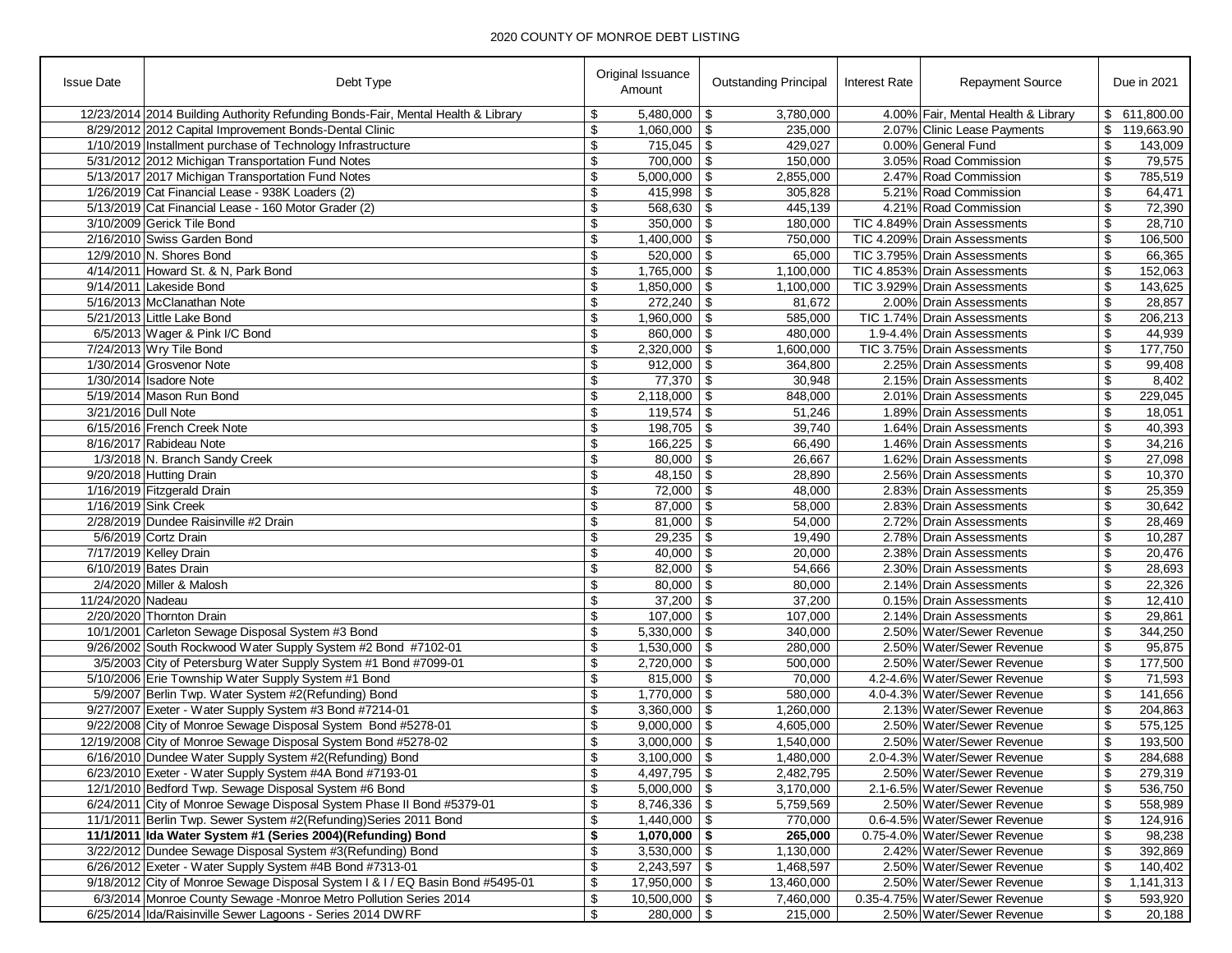| 12/23/2014 2014 Building Authority Refunding Bonds-Fair, Mental Health & Library<br>$5,480,000$ \\$<br>4.00% Fair, Mental Health & Library<br>\$ 611,800.00<br>\$<br>3,780,000<br>$1,060,000$ \$<br>8/29/2012 2012 Capital Improvement Bonds-Dental Clinic<br>\$<br>235,000<br>2.07% Clinic Lease Payments<br>\$<br>119,663.90<br>1/10/2019 Installment purchase of Technology Infrastructure<br>\$<br>$715,045$ \$<br>429,027<br>0.00% General Fund<br>\$<br>143,009<br>5/31/2012 2012 Michigan Transportation Fund Notes<br>\$<br>\$<br>79,575<br>$700,000$ \ \$<br>3.05% Road Commission<br>150,000<br>\$<br>5/13/2017 2017 Michigan Transportation Fund Notes<br>$5,000,000$ \ \$<br>2.47% Road Commission<br>\$<br>785,519<br>2,855,000<br>1/26/2019 Cat Financial Lease - 938K Loaders (2)<br>\$<br>$415,998$ \$<br>5.21% Road Commission<br>\$<br>64,471<br>305,828<br>5/13/2019 Cat Financial Lease - 160 Motor Grader (2)<br>\$<br>$568,630$ \ \$<br>4.21% Road Commission<br>\$<br>445,139<br>72,390<br>\$<br>$350,000$ \ \$<br>3/10/2009 Gerick Tile Bond<br>180,000<br>TIC 4.849% Drain Assessments<br>\$<br>28,710<br>2/16/2010 Swiss Garden Bond<br>$1,400,000$ \$<br>TIC 4.209% Drain Assessments<br>\$<br>750,000<br>\$<br>106,500<br>$520,000$ \ \$<br>12/9/2010 N. Shores Bond<br>\$<br>65,000<br>TIC 3.795% Drain Assessments<br>\$<br>66,365<br>\$<br>\$<br>4/14/2011 Howard St. & N, Park Bond<br>$1,765,000$ \$<br>TIC 4.853% Drain Assessments<br>152,063<br>1,100,000<br>\$<br>$1,850,000$ \ \$<br>TIC 3.929% Drain Assessments<br>143,625<br>9/14/2011 Lakeside Bond<br>1,100,000<br>\$<br>$272,240$ \$<br>\$<br>28,857<br>5/16/2013 McClanathan Note<br>\$<br>81,672<br>2.00% Drain Assessments<br>$1,960,000$ \$<br>5/21/2013 Little Lake Bond<br>\$<br>TIC 1.74% Drain Assessments<br>\$<br>206,213<br>585,000<br>$860,000$ \$<br>6/5/2013 Wager & Pink I/C Bond<br>\$<br>480,000<br>1.9-4.4% Drain Assessments<br>\$<br>44,939<br>\$<br>7/24/2013 Wry Tile Bond<br>\$<br>$2,320,000$ \$<br>1,600,000<br>TIC 3.75% Drain Assessments<br>177,750<br>1/30/2014 Grosvenor Note<br>\$<br>$912,000$ \ \$<br>364,800<br>2.25% Drain Assessments<br>\$<br>99,408<br>\$<br>$77,370$ \\$<br>1/30/2014 Isadore Note<br>30,948<br>2.15% Drain Assessments<br>\$<br>8,402<br>\$<br>$2,118,000$ \$<br>\$<br>5/19/2014 Mason Run Bond<br>848,000<br>2.01% Drain Assessments<br>229,045<br>3/21/2016 Dull Note<br>\$<br>51,246<br>1.89% Drain Assessments<br>\$<br>18,051<br>$198,705$ \\$<br>6/15/2016 French Creek Note<br>\$<br>39,740<br>1.64% Drain Assessments<br>\$<br>40,393<br>\$<br>\$<br>8/16/2017 Rabideau Note<br>$166,225$ \ \$<br>1.46% Drain Assessments<br>34,216<br>66,490<br>\$<br>1/3/2018 N. Branch Sandy Creek<br>$80,000$ \ \$<br>26,667<br>1.62% Drain Assessments<br>\$<br>27,098<br>\$<br>$48,150$ \$<br>9/20/2018 Hutting Drain<br>28,890<br>2.56% Drain Assessments<br>\$<br>10,370<br>1/16/2019 Fitzgerald Drain<br>\$<br>$72,000$ \ \$<br>\$<br>2.83% Drain Assessments<br>25,359<br>48,000<br>\$<br>$87,000$ \ \$<br>1/16/2019 Sink Creek<br>58,000<br>2.83% Drain Assessments<br>\$<br>30,642<br>\$<br>$81,000$ \$<br>2/28/2019 Dundee Raisinville #2 Drain<br>54,000<br>2.72% Drain Assessments<br>\$<br>28,469<br>\$<br>2.78% Drain Assessments<br>5/6/2019 Cortz Drain<br>19,490<br>\$<br>10,287<br>\$<br>7/17/2019 Kelley Drain<br>$40,000$ \ \$<br>2.38% Drain Assessments<br>\$<br>20,476<br>20,000<br>\$<br>$82,000$ \$<br>\$<br>6/10/2019 Bates Drain<br>54,666<br>2.30% Drain Assessments<br>28,693<br>$80,000$ \$<br>2/4/2020 Miller & Malosh<br>\$<br>80,000<br>2.14% Drain Assessments<br>\$<br>22,326<br>11/24/2020 Nadeau<br>$37,200$ \ \$<br>\$<br>37,200<br>0.15% Drain Assessments<br>\$<br>12,410<br>\$<br>2/20/2020 Thornton Drain<br>$107,000$ \ \$<br>107,000<br>2.14% Drain Assessments<br>\$<br>29,861<br>2.50% Water/Sewer Revenue<br>10/1/2001 Carleton Sewage Disposal System #3 Bond<br>\$<br>$5,330,000$ \ \$<br>340,000<br>\$<br>344,250<br>\$<br>9/26/2002 South Rockwood Water Supply System #2 Bond #7102-01<br>\$<br>$1,530,000$ \$<br>2.50% Water/Sewer Revenue<br>95,875<br>280,000<br>\$<br>3/5/2003 City of Petersburg Water Supply System #1 Bond #7099-01<br>$2,720,000$ \$<br>2.50% Water/Sewer Revenue<br>\$<br>500,000<br>177,500<br>\$<br>$815,000$ \$<br>4.2-4.6% Water/Sewer Revenue<br>71,593<br>5/10/2006 Erie Township Water Supply System #1 Bond<br>70,000<br>\$<br>\$<br>5/9/2007 Berlin Twp. Water System #2(Refunding) Bond<br>\$<br>$1,770,000$ \ \$<br>580,000<br>4.0-4.3% Water/Sewer Revenue<br>141,656<br>2.13% Water/Sewer Revenue<br>9/27/2007 Exeter - Water Supply System #3 Bond #7214-01<br>\$<br>$3,360,000$ \$<br>1,260,000<br>\$<br>204,863<br>\$<br>9/22/2008 City of Monroe Sewage Disposal System Bond #5278-01<br>$9,000,000$ \$<br>2.50% Water/Sewer Revenue<br>\$<br>575,125<br>4,605,000<br>12/19/2008 City of Monroe Sewage Disposal System Bond #5278-02<br>\$<br>\$<br>$3,000,000$ \$<br>2.50% Water/Sewer Revenue<br>193,500<br>1,540,000<br>\$<br>$3,100,000$ \$<br>1,480,000<br>284,688<br>6/16/2010 Dundee Water Supply System #2(Refunding) Bond<br>2.0-4.3% Water/Sewer Revenue<br>\$<br>\$<br>\$<br>6/23/2010 Exeter - Water Supply System #4A Bond #7193-01<br>$4,497,795$ \$<br>2,482,795<br>2.50% Water/Sewer Revenue<br>279,319<br>\$<br>\$<br>12/1/2010 Bedford Twp. Sewage Disposal System #6 Bond<br>$5,000,000$ \ \$<br>3,170,000<br>2.1-6.5% Water/Sewer Revenue<br>536,750<br>\$<br>$8,746,336$ \$<br>2.50% Water/Sewer Revenue<br>6/24/2011 City of Monroe Sewage Disposal System Phase II Bond #5379-01<br>5,759,569<br>\$<br>558,989<br>11/1/2011 Berlin Twp. Sewer System #2(Refunding) Series 2011 Bond<br>\$<br>$1,440,000$ \ \$<br>\$<br>770,000<br>0.6-4.5% Water/Sewer Revenue<br>124,916<br>11/1/2011 Ida Water System #1 (Series 2004)(Refunding) Bond<br>\$<br>\$<br>$1,070,000$ \$<br>265,000<br>0.75-4.0% Water/Sewer Revenue<br>98,238<br>\$<br>$3,530,000$ \$<br>\$<br>392,869<br>3/22/2012 Dundee Sewage Disposal System #3(Refunding) Bond<br>1,130,000<br>2.42% Water/Sewer Revenue<br>\$<br>6/26/2012 Exeter - Water Supply System #4B Bond #7313-01<br>$2,243,597$ \$<br>2.50% Water/Sewer Revenue<br>\$<br>1,468,597<br>140,402<br>9/18/2012 City of Monroe Sewage Disposal System I & I / EQ Basin Bond #5495-01<br>\$<br>$17,950,000$ \ \$<br>2.50% Water/Sewer Revenue<br>\$<br>13,460,000<br>1,141,313<br>6/3/2014 Monroe County Sewage -Monroe Metro Pollution Series 2014<br>\$<br>$10,500,000$ \$<br>0.35-4.75% Water/Sewer Revenue<br>\$<br>593,920<br>7,460,000<br>6/25/2014 Ida/Raisinville Sewer Lagoons - Series 2014 DWRF<br>$280,000$ \ \$<br>2.50% Water/Sewer Revenue | <b>Issue Date</b> | Debt Type | Original Issuance<br>Amount | <b>Outstanding Principal</b> | <b>Interest Rate</b> | <b>Repayment Source</b> | Due in 2021 |
|--------------------------------------------------------------------------------------------------------------------------------------------------------------------------------------------------------------------------------------------------------------------------------------------------------------------------------------------------------------------------------------------------------------------------------------------------------------------------------------------------------------------------------------------------------------------------------------------------------------------------------------------------------------------------------------------------------------------------------------------------------------------------------------------------------------------------------------------------------------------------------------------------------------------------------------------------------------------------------------------------------------------------------------------------------------------------------------------------------------------------------------------------------------------------------------------------------------------------------------------------------------------------------------------------------------------------------------------------------------------------------------------------------------------------------------------------------------------------------------------------------------------------------------------------------------------------------------------------------------------------------------------------------------------------------------------------------------------------------------------------------------------------------------------------------------------------------------------------------------------------------------------------------------------------------------------------------------------------------------------------------------------------------------------------------------------------------------------------------------------------------------------------------------------------------------------------------------------------------------------------------------------------------------------------------------------------------------------------------------------------------------------------------------------------------------------------------------------------------------------------------------------------------------------------------------------------------------------------------------------------------------------------------------------------------------------------------------------------------------------------------------------------------------------------------------------------------------------------------------------------------------------------------------------------------------------------------------------------------------------------------------------------------------------------------------------------------------------------------------------------------------------------------------------------------------------------------------------------------------------------------------------------------------------------------------------------------------------------------------------------------------------------------------------------------------------------------------------------------------------------------------------------------------------------------------------------------------------------------------------------------------------------------------------------------------------------------------------------------------------------------------------------------------------------------------------------------------------------------------------------------------------------------------------------------------------------------------------------------------------------------------------------------------------------------------------------------------------------------------------------------------------------------------------------------------------------------------------------------------------------------------------------------------------------------------------------------------------------------------------------------------------------------------------------------------------------------------------------------------------------------------------------------------------------------------------------------------------------------------------------------------------------------------------------------------------------------------------------------------------------------------------------------------------------------------------------------------------------------------------------------------------------------------------------------------------------------------------------------------------------------------------------------------------------------------------------------------------------------------------------------------------------------------------------------------------------------------------------------------------------------------------------------------------------------------------------------------------------------------------------------------------------------------------------------------------------------------------------------------------------------------------------------------------------------------------------------------------------------------------------------------------------------------------------------------------------------------------------------------------------------------------------------------------------------------------------------------------------------------------------------------------------------------------------------------------------------------------------------------------------------------------------------------------------------------------------------------------------------------------------------------------------------------------------------------------------------------------------------------------------------------------------------------------------------------------------------------------------------------------------------------------------------------------------------------------------------------------------------------------------------------------------------------------------------------------------------------------------------------------------------------------------------------------------------------------------------------------------------------------------------|-------------------|-----------|-----------------------------|------------------------------|----------------------|-------------------------|-------------|
|                                                                                                                                                                                                                                                                                                                                                                                                                                                                                                                                                                                                                                                                                                                                                                                                                                                                                                                                                                                                                                                                                                                                                                                                                                                                                                                                                                                                                                                                                                                                                                                                                                                                                                                                                                                                                                                                                                                                                                                                                                                                                                                                                                                                                                                                                                                                                                                                                                                                                                                                                                                                                                                                                                                                                                                                                                                                                                                                                                                                                                                                                                                                                                                                                                                                                                                                                                                                                                                                                                                                                                                                                                                                                                                                                                                                                                                                                                                                                                                                                                                                                                                                                                                                                                                                                                                                                                                                                                                                                                                                                                                                                                                                                                                                                                                                                                                                                                                                                                                                                                                                                                                                                                                                                                                                                                                                                                                                                                                                                                                                                                                                                                                                                                                                                                                                                                                                                                                                                                                                                                                                                                                                                                                                                                                                                                                                                                                                                                                                                                                                                                                                                                                                                                                                                        |                   |           |                             |                              |                      |                         |             |
|                                                                                                                                                                                                                                                                                                                                                                                                                                                                                                                                                                                                                                                                                                                                                                                                                                                                                                                                                                                                                                                                                                                                                                                                                                                                                                                                                                                                                                                                                                                                                                                                                                                                                                                                                                                                                                                                                                                                                                                                                                                                                                                                                                                                                                                                                                                                                                                                                                                                                                                                                                                                                                                                                                                                                                                                                                                                                                                                                                                                                                                                                                                                                                                                                                                                                                                                                                                                                                                                                                                                                                                                                                                                                                                                                                                                                                                                                                                                                                                                                                                                                                                                                                                                                                                                                                                                                                                                                                                                                                                                                                                                                                                                                                                                                                                                                                                                                                                                                                                                                                                                                                                                                                                                                                                                                                                                                                                                                                                                                                                                                                                                                                                                                                                                                                                                                                                                                                                                                                                                                                                                                                                                                                                                                                                                                                                                                                                                                                                                                                                                                                                                                                                                                                                                                        |                   |           |                             |                              |                      |                         |             |
| 20,188                                                                                                                                                                                                                                                                                                                                                                                                                                                                                                                                                                                                                                                                                                                                                                                                                                                                                                                                                                                                                                                                                                                                                                                                                                                                                                                                                                                                                                                                                                                                                                                                                                                                                                                                                                                                                                                                                                                                                                                                                                                                                                                                                                                                                                                                                                                                                                                                                                                                                                                                                                                                                                                                                                                                                                                                                                                                                                                                                                                                                                                                                                                                                                                                                                                                                                                                                                                                                                                                                                                                                                                                                                                                                                                                                                                                                                                                                                                                                                                                                                                                                                                                                                                                                                                                                                                                                                                                                                                                                                                                                                                                                                                                                                                                                                                                                                                                                                                                                                                                                                                                                                                                                                                                                                                                                                                                                                                                                                                                                                                                                                                                                                                                                                                                                                                                                                                                                                                                                                                                                                                                                                                                                                                                                                                                                                                                                                                                                                                                                                                                                                                                                                                                                                                                                 |                   |           |                             |                              |                      |                         |             |
|                                                                                                                                                                                                                                                                                                                                                                                                                                                                                                                                                                                                                                                                                                                                                                                                                                                                                                                                                                                                                                                                                                                                                                                                                                                                                                                                                                                                                                                                                                                                                                                                                                                                                                                                                                                                                                                                                                                                                                                                                                                                                                                                                                                                                                                                                                                                                                                                                                                                                                                                                                                                                                                                                                                                                                                                                                                                                                                                                                                                                                                                                                                                                                                                                                                                                                                                                                                                                                                                                                                                                                                                                                                                                                                                                                                                                                                                                                                                                                                                                                                                                                                                                                                                                                                                                                                                                                                                                                                                                                                                                                                                                                                                                                                                                                                                                                                                                                                                                                                                                                                                                                                                                                                                                                                                                                                                                                                                                                                                                                                                                                                                                                                                                                                                                                                                                                                                                                                                                                                                                                                                                                                                                                                                                                                                                                                                                                                                                                                                                                                                                                                                                                                                                                                                                        |                   |           |                             |                              |                      |                         |             |
|                                                                                                                                                                                                                                                                                                                                                                                                                                                                                                                                                                                                                                                                                                                                                                                                                                                                                                                                                                                                                                                                                                                                                                                                                                                                                                                                                                                                                                                                                                                                                                                                                                                                                                                                                                                                                                                                                                                                                                                                                                                                                                                                                                                                                                                                                                                                                                                                                                                                                                                                                                                                                                                                                                                                                                                                                                                                                                                                                                                                                                                                                                                                                                                                                                                                                                                                                                                                                                                                                                                                                                                                                                                                                                                                                                                                                                                                                                                                                                                                                                                                                                                                                                                                                                                                                                                                                                                                                                                                                                                                                                                                                                                                                                                                                                                                                                                                                                                                                                                                                                                                                                                                                                                                                                                                                                                                                                                                                                                                                                                                                                                                                                                                                                                                                                                                                                                                                                                                                                                                                                                                                                                                                                                                                                                                                                                                                                                                                                                                                                                                                                                                                                                                                                                                                        |                   |           |                             |                              |                      |                         |             |
|                                                                                                                                                                                                                                                                                                                                                                                                                                                                                                                                                                                                                                                                                                                                                                                                                                                                                                                                                                                                                                                                                                                                                                                                                                                                                                                                                                                                                                                                                                                                                                                                                                                                                                                                                                                                                                                                                                                                                                                                                                                                                                                                                                                                                                                                                                                                                                                                                                                                                                                                                                                                                                                                                                                                                                                                                                                                                                                                                                                                                                                                                                                                                                                                                                                                                                                                                                                                                                                                                                                                                                                                                                                                                                                                                                                                                                                                                                                                                                                                                                                                                                                                                                                                                                                                                                                                                                                                                                                                                                                                                                                                                                                                                                                                                                                                                                                                                                                                                                                                                                                                                                                                                                                                                                                                                                                                                                                                                                                                                                                                                                                                                                                                                                                                                                                                                                                                                                                                                                                                                                                                                                                                                                                                                                                                                                                                                                                                                                                                                                                                                                                                                                                                                                                                                        |                   |           |                             |                              |                      |                         |             |
|                                                                                                                                                                                                                                                                                                                                                                                                                                                                                                                                                                                                                                                                                                                                                                                                                                                                                                                                                                                                                                                                                                                                                                                                                                                                                                                                                                                                                                                                                                                                                                                                                                                                                                                                                                                                                                                                                                                                                                                                                                                                                                                                                                                                                                                                                                                                                                                                                                                                                                                                                                                                                                                                                                                                                                                                                                                                                                                                                                                                                                                                                                                                                                                                                                                                                                                                                                                                                                                                                                                                                                                                                                                                                                                                                                                                                                                                                                                                                                                                                                                                                                                                                                                                                                                                                                                                                                                                                                                                                                                                                                                                                                                                                                                                                                                                                                                                                                                                                                                                                                                                                                                                                                                                                                                                                                                                                                                                                                                                                                                                                                                                                                                                                                                                                                                                                                                                                                                                                                                                                                                                                                                                                                                                                                                                                                                                                                                                                                                                                                                                                                                                                                                                                                                                                        |                   |           |                             |                              |                      |                         |             |
|                                                                                                                                                                                                                                                                                                                                                                                                                                                                                                                                                                                                                                                                                                                                                                                                                                                                                                                                                                                                                                                                                                                                                                                                                                                                                                                                                                                                                                                                                                                                                                                                                                                                                                                                                                                                                                                                                                                                                                                                                                                                                                                                                                                                                                                                                                                                                                                                                                                                                                                                                                                                                                                                                                                                                                                                                                                                                                                                                                                                                                                                                                                                                                                                                                                                                                                                                                                                                                                                                                                                                                                                                                                                                                                                                                                                                                                                                                                                                                                                                                                                                                                                                                                                                                                                                                                                                                                                                                                                                                                                                                                                                                                                                                                                                                                                                                                                                                                                                                                                                                                                                                                                                                                                                                                                                                                                                                                                                                                                                                                                                                                                                                                                                                                                                                                                                                                                                                                                                                                                                                                                                                                                                                                                                                                                                                                                                                                                                                                                                                                                                                                                                                                                                                                                                        |                   |           |                             |                              |                      |                         |             |
|                                                                                                                                                                                                                                                                                                                                                                                                                                                                                                                                                                                                                                                                                                                                                                                                                                                                                                                                                                                                                                                                                                                                                                                                                                                                                                                                                                                                                                                                                                                                                                                                                                                                                                                                                                                                                                                                                                                                                                                                                                                                                                                                                                                                                                                                                                                                                                                                                                                                                                                                                                                                                                                                                                                                                                                                                                                                                                                                                                                                                                                                                                                                                                                                                                                                                                                                                                                                                                                                                                                                                                                                                                                                                                                                                                                                                                                                                                                                                                                                                                                                                                                                                                                                                                                                                                                                                                                                                                                                                                                                                                                                                                                                                                                                                                                                                                                                                                                                                                                                                                                                                                                                                                                                                                                                                                                                                                                                                                                                                                                                                                                                                                                                                                                                                                                                                                                                                                                                                                                                                                                                                                                                                                                                                                                                                                                                                                                                                                                                                                                                                                                                                                                                                                                                                        |                   |           |                             |                              |                      |                         |             |
|                                                                                                                                                                                                                                                                                                                                                                                                                                                                                                                                                                                                                                                                                                                                                                                                                                                                                                                                                                                                                                                                                                                                                                                                                                                                                                                                                                                                                                                                                                                                                                                                                                                                                                                                                                                                                                                                                                                                                                                                                                                                                                                                                                                                                                                                                                                                                                                                                                                                                                                                                                                                                                                                                                                                                                                                                                                                                                                                                                                                                                                                                                                                                                                                                                                                                                                                                                                                                                                                                                                                                                                                                                                                                                                                                                                                                                                                                                                                                                                                                                                                                                                                                                                                                                                                                                                                                                                                                                                                                                                                                                                                                                                                                                                                                                                                                                                                                                                                                                                                                                                                                                                                                                                                                                                                                                                                                                                                                                                                                                                                                                                                                                                                                                                                                                                                                                                                                                                                                                                                                                                                                                                                                                                                                                                                                                                                                                                                                                                                                                                                                                                                                                                                                                                                                        |                   |           |                             |                              |                      |                         |             |
|                                                                                                                                                                                                                                                                                                                                                                                                                                                                                                                                                                                                                                                                                                                                                                                                                                                                                                                                                                                                                                                                                                                                                                                                                                                                                                                                                                                                                                                                                                                                                                                                                                                                                                                                                                                                                                                                                                                                                                                                                                                                                                                                                                                                                                                                                                                                                                                                                                                                                                                                                                                                                                                                                                                                                                                                                                                                                                                                                                                                                                                                                                                                                                                                                                                                                                                                                                                                                                                                                                                                                                                                                                                                                                                                                                                                                                                                                                                                                                                                                                                                                                                                                                                                                                                                                                                                                                                                                                                                                                                                                                                                                                                                                                                                                                                                                                                                                                                                                                                                                                                                                                                                                                                                                                                                                                                                                                                                                                                                                                                                                                                                                                                                                                                                                                                                                                                                                                                                                                                                                                                                                                                                                                                                                                                                                                                                                                                                                                                                                                                                                                                                                                                                                                                                                        |                   |           |                             |                              |                      |                         |             |
|                                                                                                                                                                                                                                                                                                                                                                                                                                                                                                                                                                                                                                                                                                                                                                                                                                                                                                                                                                                                                                                                                                                                                                                                                                                                                                                                                                                                                                                                                                                                                                                                                                                                                                                                                                                                                                                                                                                                                                                                                                                                                                                                                                                                                                                                                                                                                                                                                                                                                                                                                                                                                                                                                                                                                                                                                                                                                                                                                                                                                                                                                                                                                                                                                                                                                                                                                                                                                                                                                                                                                                                                                                                                                                                                                                                                                                                                                                                                                                                                                                                                                                                                                                                                                                                                                                                                                                                                                                                                                                                                                                                                                                                                                                                                                                                                                                                                                                                                                                                                                                                                                                                                                                                                                                                                                                                                                                                                                                                                                                                                                                                                                                                                                                                                                                                                                                                                                                                                                                                                                                                                                                                                                                                                                                                                                                                                                                                                                                                                                                                                                                                                                                                                                                                                                        |                   |           |                             |                              |                      |                         |             |
|                                                                                                                                                                                                                                                                                                                                                                                                                                                                                                                                                                                                                                                                                                                                                                                                                                                                                                                                                                                                                                                                                                                                                                                                                                                                                                                                                                                                                                                                                                                                                                                                                                                                                                                                                                                                                                                                                                                                                                                                                                                                                                                                                                                                                                                                                                                                                                                                                                                                                                                                                                                                                                                                                                                                                                                                                                                                                                                                                                                                                                                                                                                                                                                                                                                                                                                                                                                                                                                                                                                                                                                                                                                                                                                                                                                                                                                                                                                                                                                                                                                                                                                                                                                                                                                                                                                                                                                                                                                                                                                                                                                                                                                                                                                                                                                                                                                                                                                                                                                                                                                                                                                                                                                                                                                                                                                                                                                                                                                                                                                                                                                                                                                                                                                                                                                                                                                                                                                                                                                                                                                                                                                                                                                                                                                                                                                                                                                                                                                                                                                                                                                                                                                                                                                                                        |                   |           |                             |                              |                      |                         |             |
|                                                                                                                                                                                                                                                                                                                                                                                                                                                                                                                                                                                                                                                                                                                                                                                                                                                                                                                                                                                                                                                                                                                                                                                                                                                                                                                                                                                                                                                                                                                                                                                                                                                                                                                                                                                                                                                                                                                                                                                                                                                                                                                                                                                                                                                                                                                                                                                                                                                                                                                                                                                                                                                                                                                                                                                                                                                                                                                                                                                                                                                                                                                                                                                                                                                                                                                                                                                                                                                                                                                                                                                                                                                                                                                                                                                                                                                                                                                                                                                                                                                                                                                                                                                                                                                                                                                                                                                                                                                                                                                                                                                                                                                                                                                                                                                                                                                                                                                                                                                                                                                                                                                                                                                                                                                                                                                                                                                                                                                                                                                                                                                                                                                                                                                                                                                                                                                                                                                                                                                                                                                                                                                                                                                                                                                                                                                                                                                                                                                                                                                                                                                                                                                                                                                                                        |                   |           |                             |                              |                      |                         |             |
|                                                                                                                                                                                                                                                                                                                                                                                                                                                                                                                                                                                                                                                                                                                                                                                                                                                                                                                                                                                                                                                                                                                                                                                                                                                                                                                                                                                                                                                                                                                                                                                                                                                                                                                                                                                                                                                                                                                                                                                                                                                                                                                                                                                                                                                                                                                                                                                                                                                                                                                                                                                                                                                                                                                                                                                                                                                                                                                                                                                                                                                                                                                                                                                                                                                                                                                                                                                                                                                                                                                                                                                                                                                                                                                                                                                                                                                                                                                                                                                                                                                                                                                                                                                                                                                                                                                                                                                                                                                                                                                                                                                                                                                                                                                                                                                                                                                                                                                                                                                                                                                                                                                                                                                                                                                                                                                                                                                                                                                                                                                                                                                                                                                                                                                                                                                                                                                                                                                                                                                                                                                                                                                                                                                                                                                                                                                                                                                                                                                                                                                                                                                                                                                                                                                                                        |                   |           |                             |                              |                      |                         |             |
|                                                                                                                                                                                                                                                                                                                                                                                                                                                                                                                                                                                                                                                                                                                                                                                                                                                                                                                                                                                                                                                                                                                                                                                                                                                                                                                                                                                                                                                                                                                                                                                                                                                                                                                                                                                                                                                                                                                                                                                                                                                                                                                                                                                                                                                                                                                                                                                                                                                                                                                                                                                                                                                                                                                                                                                                                                                                                                                                                                                                                                                                                                                                                                                                                                                                                                                                                                                                                                                                                                                                                                                                                                                                                                                                                                                                                                                                                                                                                                                                                                                                                                                                                                                                                                                                                                                                                                                                                                                                                                                                                                                                                                                                                                                                                                                                                                                                                                                                                                                                                                                                                                                                                                                                                                                                                                                                                                                                                                                                                                                                                                                                                                                                                                                                                                                                                                                                                                                                                                                                                                                                                                                                                                                                                                                                                                                                                                                                                                                                                                                                                                                                                                                                                                                                                        |                   |           |                             |                              |                      |                         |             |
|                                                                                                                                                                                                                                                                                                                                                                                                                                                                                                                                                                                                                                                                                                                                                                                                                                                                                                                                                                                                                                                                                                                                                                                                                                                                                                                                                                                                                                                                                                                                                                                                                                                                                                                                                                                                                                                                                                                                                                                                                                                                                                                                                                                                                                                                                                                                                                                                                                                                                                                                                                                                                                                                                                                                                                                                                                                                                                                                                                                                                                                                                                                                                                                                                                                                                                                                                                                                                                                                                                                                                                                                                                                                                                                                                                                                                                                                                                                                                                                                                                                                                                                                                                                                                                                                                                                                                                                                                                                                                                                                                                                                                                                                                                                                                                                                                                                                                                                                                                                                                                                                                                                                                                                                                                                                                                                                                                                                                                                                                                                                                                                                                                                                                                                                                                                                                                                                                                                                                                                                                                                                                                                                                                                                                                                                                                                                                                                                                                                                                                                                                                                                                                                                                                                                                        |                   |           |                             |                              |                      |                         |             |
|                                                                                                                                                                                                                                                                                                                                                                                                                                                                                                                                                                                                                                                                                                                                                                                                                                                                                                                                                                                                                                                                                                                                                                                                                                                                                                                                                                                                                                                                                                                                                                                                                                                                                                                                                                                                                                                                                                                                                                                                                                                                                                                                                                                                                                                                                                                                                                                                                                                                                                                                                                                                                                                                                                                                                                                                                                                                                                                                                                                                                                                                                                                                                                                                                                                                                                                                                                                                                                                                                                                                                                                                                                                                                                                                                                                                                                                                                                                                                                                                                                                                                                                                                                                                                                                                                                                                                                                                                                                                                                                                                                                                                                                                                                                                                                                                                                                                                                                                                                                                                                                                                                                                                                                                                                                                                                                                                                                                                                                                                                                                                                                                                                                                                                                                                                                                                                                                                                                                                                                                                                                                                                                                                                                                                                                                                                                                                                                                                                                                                                                                                                                                                                                                                                                                                        |                   |           |                             |                              |                      |                         |             |
|                                                                                                                                                                                                                                                                                                                                                                                                                                                                                                                                                                                                                                                                                                                                                                                                                                                                                                                                                                                                                                                                                                                                                                                                                                                                                                                                                                                                                                                                                                                                                                                                                                                                                                                                                                                                                                                                                                                                                                                                                                                                                                                                                                                                                                                                                                                                                                                                                                                                                                                                                                                                                                                                                                                                                                                                                                                                                                                                                                                                                                                                                                                                                                                                                                                                                                                                                                                                                                                                                                                                                                                                                                                                                                                                                                                                                                                                                                                                                                                                                                                                                                                                                                                                                                                                                                                                                                                                                                                                                                                                                                                                                                                                                                                                                                                                                                                                                                                                                                                                                                                                                                                                                                                                                                                                                                                                                                                                                                                                                                                                                                                                                                                                                                                                                                                                                                                                                                                                                                                                                                                                                                                                                                                                                                                                                                                                                                                                                                                                                                                                                                                                                                                                                                                                                        |                   |           |                             |                              |                      |                         |             |
|                                                                                                                                                                                                                                                                                                                                                                                                                                                                                                                                                                                                                                                                                                                                                                                                                                                                                                                                                                                                                                                                                                                                                                                                                                                                                                                                                                                                                                                                                                                                                                                                                                                                                                                                                                                                                                                                                                                                                                                                                                                                                                                                                                                                                                                                                                                                                                                                                                                                                                                                                                                                                                                                                                                                                                                                                                                                                                                                                                                                                                                                                                                                                                                                                                                                                                                                                                                                                                                                                                                                                                                                                                                                                                                                                                                                                                                                                                                                                                                                                                                                                                                                                                                                                                                                                                                                                                                                                                                                                                                                                                                                                                                                                                                                                                                                                                                                                                                                                                                                                                                                                                                                                                                                                                                                                                                                                                                                                                                                                                                                                                                                                                                                                                                                                                                                                                                                                                                                                                                                                                                                                                                                                                                                                                                                                                                                                                                                                                                                                                                                                                                                                                                                                                                                                        |                   |           |                             |                              |                      |                         |             |
|                                                                                                                                                                                                                                                                                                                                                                                                                                                                                                                                                                                                                                                                                                                                                                                                                                                                                                                                                                                                                                                                                                                                                                                                                                                                                                                                                                                                                                                                                                                                                                                                                                                                                                                                                                                                                                                                                                                                                                                                                                                                                                                                                                                                                                                                                                                                                                                                                                                                                                                                                                                                                                                                                                                                                                                                                                                                                                                                                                                                                                                                                                                                                                                                                                                                                                                                                                                                                                                                                                                                                                                                                                                                                                                                                                                                                                                                                                                                                                                                                                                                                                                                                                                                                                                                                                                                                                                                                                                                                                                                                                                                                                                                                                                                                                                                                                                                                                                                                                                                                                                                                                                                                                                                                                                                                                                                                                                                                                                                                                                                                                                                                                                                                                                                                                                                                                                                                                                                                                                                                                                                                                                                                                                                                                                                                                                                                                                                                                                                                                                                                                                                                                                                                                                                                        |                   |           |                             |                              |                      |                         |             |
|                                                                                                                                                                                                                                                                                                                                                                                                                                                                                                                                                                                                                                                                                                                                                                                                                                                                                                                                                                                                                                                                                                                                                                                                                                                                                                                                                                                                                                                                                                                                                                                                                                                                                                                                                                                                                                                                                                                                                                                                                                                                                                                                                                                                                                                                                                                                                                                                                                                                                                                                                                                                                                                                                                                                                                                                                                                                                                                                                                                                                                                                                                                                                                                                                                                                                                                                                                                                                                                                                                                                                                                                                                                                                                                                                                                                                                                                                                                                                                                                                                                                                                                                                                                                                                                                                                                                                                                                                                                                                                                                                                                                                                                                                                                                                                                                                                                                                                                                                                                                                                                                                                                                                                                                                                                                                                                                                                                                                                                                                                                                                                                                                                                                                                                                                                                                                                                                                                                                                                                                                                                                                                                                                                                                                                                                                                                                                                                                                                                                                                                                                                                                                                                                                                                                                        |                   |           |                             |                              |                      |                         |             |
|                                                                                                                                                                                                                                                                                                                                                                                                                                                                                                                                                                                                                                                                                                                                                                                                                                                                                                                                                                                                                                                                                                                                                                                                                                                                                                                                                                                                                                                                                                                                                                                                                                                                                                                                                                                                                                                                                                                                                                                                                                                                                                                                                                                                                                                                                                                                                                                                                                                                                                                                                                                                                                                                                                                                                                                                                                                                                                                                                                                                                                                                                                                                                                                                                                                                                                                                                                                                                                                                                                                                                                                                                                                                                                                                                                                                                                                                                                                                                                                                                                                                                                                                                                                                                                                                                                                                                                                                                                                                                                                                                                                                                                                                                                                                                                                                                                                                                                                                                                                                                                                                                                                                                                                                                                                                                                                                                                                                                                                                                                                                                                                                                                                                                                                                                                                                                                                                                                                                                                                                                                                                                                                                                                                                                                                                                                                                                                                                                                                                                                                                                                                                                                                                                                                                                        |                   |           |                             |                              |                      |                         |             |
|                                                                                                                                                                                                                                                                                                                                                                                                                                                                                                                                                                                                                                                                                                                                                                                                                                                                                                                                                                                                                                                                                                                                                                                                                                                                                                                                                                                                                                                                                                                                                                                                                                                                                                                                                                                                                                                                                                                                                                                                                                                                                                                                                                                                                                                                                                                                                                                                                                                                                                                                                                                                                                                                                                                                                                                                                                                                                                                                                                                                                                                                                                                                                                                                                                                                                                                                                                                                                                                                                                                                                                                                                                                                                                                                                                                                                                                                                                                                                                                                                                                                                                                                                                                                                                                                                                                                                                                                                                                                                                                                                                                                                                                                                                                                                                                                                                                                                                                                                                                                                                                                                                                                                                                                                                                                                                                                                                                                                                                                                                                                                                                                                                                                                                                                                                                                                                                                                                                                                                                                                                                                                                                                                                                                                                                                                                                                                                                                                                                                                                                                                                                                                                                                                                                                                        |                   |           |                             |                              |                      |                         |             |
|                                                                                                                                                                                                                                                                                                                                                                                                                                                                                                                                                                                                                                                                                                                                                                                                                                                                                                                                                                                                                                                                                                                                                                                                                                                                                                                                                                                                                                                                                                                                                                                                                                                                                                                                                                                                                                                                                                                                                                                                                                                                                                                                                                                                                                                                                                                                                                                                                                                                                                                                                                                                                                                                                                                                                                                                                                                                                                                                                                                                                                                                                                                                                                                                                                                                                                                                                                                                                                                                                                                                                                                                                                                                                                                                                                                                                                                                                                                                                                                                                                                                                                                                                                                                                                                                                                                                                                                                                                                                                                                                                                                                                                                                                                                                                                                                                                                                                                                                                                                                                                                                                                                                                                                                                                                                                                                                                                                                                                                                                                                                                                                                                                                                                                                                                                                                                                                                                                                                                                                                                                                                                                                                                                                                                                                                                                                                                                                                                                                                                                                                                                                                                                                                                                                                                        |                   |           |                             |                              |                      |                         |             |
|                                                                                                                                                                                                                                                                                                                                                                                                                                                                                                                                                                                                                                                                                                                                                                                                                                                                                                                                                                                                                                                                                                                                                                                                                                                                                                                                                                                                                                                                                                                                                                                                                                                                                                                                                                                                                                                                                                                                                                                                                                                                                                                                                                                                                                                                                                                                                                                                                                                                                                                                                                                                                                                                                                                                                                                                                                                                                                                                                                                                                                                                                                                                                                                                                                                                                                                                                                                                                                                                                                                                                                                                                                                                                                                                                                                                                                                                                                                                                                                                                                                                                                                                                                                                                                                                                                                                                                                                                                                                                                                                                                                                                                                                                                                                                                                                                                                                                                                                                                                                                                                                                                                                                                                                                                                                                                                                                                                                                                                                                                                                                                                                                                                                                                                                                                                                                                                                                                                                                                                                                                                                                                                                                                                                                                                                                                                                                                                                                                                                                                                                                                                                                                                                                                                                                        |                   |           |                             |                              |                      |                         |             |
|                                                                                                                                                                                                                                                                                                                                                                                                                                                                                                                                                                                                                                                                                                                                                                                                                                                                                                                                                                                                                                                                                                                                                                                                                                                                                                                                                                                                                                                                                                                                                                                                                                                                                                                                                                                                                                                                                                                                                                                                                                                                                                                                                                                                                                                                                                                                                                                                                                                                                                                                                                                                                                                                                                                                                                                                                                                                                                                                                                                                                                                                                                                                                                                                                                                                                                                                                                                                                                                                                                                                                                                                                                                                                                                                                                                                                                                                                                                                                                                                                                                                                                                                                                                                                                                                                                                                                                                                                                                                                                                                                                                                                                                                                                                                                                                                                                                                                                                                                                                                                                                                                                                                                                                                                                                                                                                                                                                                                                                                                                                                                                                                                                                                                                                                                                                                                                                                                                                                                                                                                                                                                                                                                                                                                                                                                                                                                                                                                                                                                                                                                                                                                                                                                                                                                        |                   |           |                             |                              |                      |                         |             |
|                                                                                                                                                                                                                                                                                                                                                                                                                                                                                                                                                                                                                                                                                                                                                                                                                                                                                                                                                                                                                                                                                                                                                                                                                                                                                                                                                                                                                                                                                                                                                                                                                                                                                                                                                                                                                                                                                                                                                                                                                                                                                                                                                                                                                                                                                                                                                                                                                                                                                                                                                                                                                                                                                                                                                                                                                                                                                                                                                                                                                                                                                                                                                                                                                                                                                                                                                                                                                                                                                                                                                                                                                                                                                                                                                                                                                                                                                                                                                                                                                                                                                                                                                                                                                                                                                                                                                                                                                                                                                                                                                                                                                                                                                                                                                                                                                                                                                                                                                                                                                                                                                                                                                                                                                                                                                                                                                                                                                                                                                                                                                                                                                                                                                                                                                                                                                                                                                                                                                                                                                                                                                                                                                                                                                                                                                                                                                                                                                                                                                                                                                                                                                                                                                                                                                        |                   |           |                             |                              |                      |                         |             |
|                                                                                                                                                                                                                                                                                                                                                                                                                                                                                                                                                                                                                                                                                                                                                                                                                                                                                                                                                                                                                                                                                                                                                                                                                                                                                                                                                                                                                                                                                                                                                                                                                                                                                                                                                                                                                                                                                                                                                                                                                                                                                                                                                                                                                                                                                                                                                                                                                                                                                                                                                                                                                                                                                                                                                                                                                                                                                                                                                                                                                                                                                                                                                                                                                                                                                                                                                                                                                                                                                                                                                                                                                                                                                                                                                                                                                                                                                                                                                                                                                                                                                                                                                                                                                                                                                                                                                                                                                                                                                                                                                                                                                                                                                                                                                                                                                                                                                                                                                                                                                                                                                                                                                                                                                                                                                                                                                                                                                                                                                                                                                                                                                                                                                                                                                                                                                                                                                                                                                                                                                                                                                                                                                                                                                                                                                                                                                                                                                                                                                                                                                                                                                                                                                                                                                        |                   |           |                             |                              |                      |                         |             |
|                                                                                                                                                                                                                                                                                                                                                                                                                                                                                                                                                                                                                                                                                                                                                                                                                                                                                                                                                                                                                                                                                                                                                                                                                                                                                                                                                                                                                                                                                                                                                                                                                                                                                                                                                                                                                                                                                                                                                                                                                                                                                                                                                                                                                                                                                                                                                                                                                                                                                                                                                                                                                                                                                                                                                                                                                                                                                                                                                                                                                                                                                                                                                                                                                                                                                                                                                                                                                                                                                                                                                                                                                                                                                                                                                                                                                                                                                                                                                                                                                                                                                                                                                                                                                                                                                                                                                                                                                                                                                                                                                                                                                                                                                                                                                                                                                                                                                                                                                                                                                                                                                                                                                                                                                                                                                                                                                                                                                                                                                                                                                                                                                                                                                                                                                                                                                                                                                                                                                                                                                                                                                                                                                                                                                                                                                                                                                                                                                                                                                                                                                                                                                                                                                                                                                        |                   |           |                             |                              |                      |                         |             |
|                                                                                                                                                                                                                                                                                                                                                                                                                                                                                                                                                                                                                                                                                                                                                                                                                                                                                                                                                                                                                                                                                                                                                                                                                                                                                                                                                                                                                                                                                                                                                                                                                                                                                                                                                                                                                                                                                                                                                                                                                                                                                                                                                                                                                                                                                                                                                                                                                                                                                                                                                                                                                                                                                                                                                                                                                                                                                                                                                                                                                                                                                                                                                                                                                                                                                                                                                                                                                                                                                                                                                                                                                                                                                                                                                                                                                                                                                                                                                                                                                                                                                                                                                                                                                                                                                                                                                                                                                                                                                                                                                                                                                                                                                                                                                                                                                                                                                                                                                                                                                                                                                                                                                                                                                                                                                                                                                                                                                                                                                                                                                                                                                                                                                                                                                                                                                                                                                                                                                                                                                                                                                                                                                                                                                                                                                                                                                                                                                                                                                                                                                                                                                                                                                                                                                        |                   |           |                             |                              |                      |                         |             |
|                                                                                                                                                                                                                                                                                                                                                                                                                                                                                                                                                                                                                                                                                                                                                                                                                                                                                                                                                                                                                                                                                                                                                                                                                                                                                                                                                                                                                                                                                                                                                                                                                                                                                                                                                                                                                                                                                                                                                                                                                                                                                                                                                                                                                                                                                                                                                                                                                                                                                                                                                                                                                                                                                                                                                                                                                                                                                                                                                                                                                                                                                                                                                                                                                                                                                                                                                                                                                                                                                                                                                                                                                                                                                                                                                                                                                                                                                                                                                                                                                                                                                                                                                                                                                                                                                                                                                                                                                                                                                                                                                                                                                                                                                                                                                                                                                                                                                                                                                                                                                                                                                                                                                                                                                                                                                                                                                                                                                                                                                                                                                                                                                                                                                                                                                                                                                                                                                                                                                                                                                                                                                                                                                                                                                                                                                                                                                                                                                                                                                                                                                                                                                                                                                                                                                        |                   |           |                             |                              |                      |                         |             |
|                                                                                                                                                                                                                                                                                                                                                                                                                                                                                                                                                                                                                                                                                                                                                                                                                                                                                                                                                                                                                                                                                                                                                                                                                                                                                                                                                                                                                                                                                                                                                                                                                                                                                                                                                                                                                                                                                                                                                                                                                                                                                                                                                                                                                                                                                                                                                                                                                                                                                                                                                                                                                                                                                                                                                                                                                                                                                                                                                                                                                                                                                                                                                                                                                                                                                                                                                                                                                                                                                                                                                                                                                                                                                                                                                                                                                                                                                                                                                                                                                                                                                                                                                                                                                                                                                                                                                                                                                                                                                                                                                                                                                                                                                                                                                                                                                                                                                                                                                                                                                                                                                                                                                                                                                                                                                                                                                                                                                                                                                                                                                                                                                                                                                                                                                                                                                                                                                                                                                                                                                                                                                                                                                                                                                                                                                                                                                                                                                                                                                                                                                                                                                                                                                                                                                        |                   |           |                             |                              |                      |                         |             |
|                                                                                                                                                                                                                                                                                                                                                                                                                                                                                                                                                                                                                                                                                                                                                                                                                                                                                                                                                                                                                                                                                                                                                                                                                                                                                                                                                                                                                                                                                                                                                                                                                                                                                                                                                                                                                                                                                                                                                                                                                                                                                                                                                                                                                                                                                                                                                                                                                                                                                                                                                                                                                                                                                                                                                                                                                                                                                                                                                                                                                                                                                                                                                                                                                                                                                                                                                                                                                                                                                                                                                                                                                                                                                                                                                                                                                                                                                                                                                                                                                                                                                                                                                                                                                                                                                                                                                                                                                                                                                                                                                                                                                                                                                                                                                                                                                                                                                                                                                                                                                                                                                                                                                                                                                                                                                                                                                                                                                                                                                                                                                                                                                                                                                                                                                                                                                                                                                                                                                                                                                                                                                                                                                                                                                                                                                                                                                                                                                                                                                                                                                                                                                                                                                                                                                        |                   |           |                             |                              |                      |                         |             |
|                                                                                                                                                                                                                                                                                                                                                                                                                                                                                                                                                                                                                                                                                                                                                                                                                                                                                                                                                                                                                                                                                                                                                                                                                                                                                                                                                                                                                                                                                                                                                                                                                                                                                                                                                                                                                                                                                                                                                                                                                                                                                                                                                                                                                                                                                                                                                                                                                                                                                                                                                                                                                                                                                                                                                                                                                                                                                                                                                                                                                                                                                                                                                                                                                                                                                                                                                                                                                                                                                                                                                                                                                                                                                                                                                                                                                                                                                                                                                                                                                                                                                                                                                                                                                                                                                                                                                                                                                                                                                                                                                                                                                                                                                                                                                                                                                                                                                                                                                                                                                                                                                                                                                                                                                                                                                                                                                                                                                                                                                                                                                                                                                                                                                                                                                                                                                                                                                                                                                                                                                                                                                                                                                                                                                                                                                                                                                                                                                                                                                                                                                                                                                                                                                                                                                        |                   |           |                             |                              |                      |                         |             |
|                                                                                                                                                                                                                                                                                                                                                                                                                                                                                                                                                                                                                                                                                                                                                                                                                                                                                                                                                                                                                                                                                                                                                                                                                                                                                                                                                                                                                                                                                                                                                                                                                                                                                                                                                                                                                                                                                                                                                                                                                                                                                                                                                                                                                                                                                                                                                                                                                                                                                                                                                                                                                                                                                                                                                                                                                                                                                                                                                                                                                                                                                                                                                                                                                                                                                                                                                                                                                                                                                                                                                                                                                                                                                                                                                                                                                                                                                                                                                                                                                                                                                                                                                                                                                                                                                                                                                                                                                                                                                                                                                                                                                                                                                                                                                                                                                                                                                                                                                                                                                                                                                                                                                                                                                                                                                                                                                                                                                                                                                                                                                                                                                                                                                                                                                                                                                                                                                                                                                                                                                                                                                                                                                                                                                                                                                                                                                                                                                                                                                                                                                                                                                                                                                                                                                        |                   |           |                             |                              |                      |                         |             |
|                                                                                                                                                                                                                                                                                                                                                                                                                                                                                                                                                                                                                                                                                                                                                                                                                                                                                                                                                                                                                                                                                                                                                                                                                                                                                                                                                                                                                                                                                                                                                                                                                                                                                                                                                                                                                                                                                                                                                                                                                                                                                                                                                                                                                                                                                                                                                                                                                                                                                                                                                                                                                                                                                                                                                                                                                                                                                                                                                                                                                                                                                                                                                                                                                                                                                                                                                                                                                                                                                                                                                                                                                                                                                                                                                                                                                                                                                                                                                                                                                                                                                                                                                                                                                                                                                                                                                                                                                                                                                                                                                                                                                                                                                                                                                                                                                                                                                                                                                                                                                                                                                                                                                                                                                                                                                                                                                                                                                                                                                                                                                                                                                                                                                                                                                                                                                                                                                                                                                                                                                                                                                                                                                                                                                                                                                                                                                                                                                                                                                                                                                                                                                                                                                                                                                        |                   |           |                             |                              |                      |                         |             |
|                                                                                                                                                                                                                                                                                                                                                                                                                                                                                                                                                                                                                                                                                                                                                                                                                                                                                                                                                                                                                                                                                                                                                                                                                                                                                                                                                                                                                                                                                                                                                                                                                                                                                                                                                                                                                                                                                                                                                                                                                                                                                                                                                                                                                                                                                                                                                                                                                                                                                                                                                                                                                                                                                                                                                                                                                                                                                                                                                                                                                                                                                                                                                                                                                                                                                                                                                                                                                                                                                                                                                                                                                                                                                                                                                                                                                                                                                                                                                                                                                                                                                                                                                                                                                                                                                                                                                                                                                                                                                                                                                                                                                                                                                                                                                                                                                                                                                                                                                                                                                                                                                                                                                                                                                                                                                                                                                                                                                                                                                                                                                                                                                                                                                                                                                                                                                                                                                                                                                                                                                                                                                                                                                                                                                                                                                                                                                                                                                                                                                                                                                                                                                                                                                                                                                        |                   |           |                             |                              |                      |                         |             |
|                                                                                                                                                                                                                                                                                                                                                                                                                                                                                                                                                                                                                                                                                                                                                                                                                                                                                                                                                                                                                                                                                                                                                                                                                                                                                                                                                                                                                                                                                                                                                                                                                                                                                                                                                                                                                                                                                                                                                                                                                                                                                                                                                                                                                                                                                                                                                                                                                                                                                                                                                                                                                                                                                                                                                                                                                                                                                                                                                                                                                                                                                                                                                                                                                                                                                                                                                                                                                                                                                                                                                                                                                                                                                                                                                                                                                                                                                                                                                                                                                                                                                                                                                                                                                                                                                                                                                                                                                                                                                                                                                                                                                                                                                                                                                                                                                                                                                                                                                                                                                                                                                                                                                                                                                                                                                                                                                                                                                                                                                                                                                                                                                                                                                                                                                                                                                                                                                                                                                                                                                                                                                                                                                                                                                                                                                                                                                                                                                                                                                                                                                                                                                                                                                                                                                        |                   |           |                             |                              |                      |                         |             |
|                                                                                                                                                                                                                                                                                                                                                                                                                                                                                                                                                                                                                                                                                                                                                                                                                                                                                                                                                                                                                                                                                                                                                                                                                                                                                                                                                                                                                                                                                                                                                                                                                                                                                                                                                                                                                                                                                                                                                                                                                                                                                                                                                                                                                                                                                                                                                                                                                                                                                                                                                                                                                                                                                                                                                                                                                                                                                                                                                                                                                                                                                                                                                                                                                                                                                                                                                                                                                                                                                                                                                                                                                                                                                                                                                                                                                                                                                                                                                                                                                                                                                                                                                                                                                                                                                                                                                                                                                                                                                                                                                                                                                                                                                                                                                                                                                                                                                                                                                                                                                                                                                                                                                                                                                                                                                                                                                                                                                                                                                                                                                                                                                                                                                                                                                                                                                                                                                                                                                                                                                                                                                                                                                                                                                                                                                                                                                                                                                                                                                                                                                                                                                                                                                                                                                        |                   |           |                             |                              |                      |                         |             |
|                                                                                                                                                                                                                                                                                                                                                                                                                                                                                                                                                                                                                                                                                                                                                                                                                                                                                                                                                                                                                                                                                                                                                                                                                                                                                                                                                                                                                                                                                                                                                                                                                                                                                                                                                                                                                                                                                                                                                                                                                                                                                                                                                                                                                                                                                                                                                                                                                                                                                                                                                                                                                                                                                                                                                                                                                                                                                                                                                                                                                                                                                                                                                                                                                                                                                                                                                                                                                                                                                                                                                                                                                                                                                                                                                                                                                                                                                                                                                                                                                                                                                                                                                                                                                                                                                                                                                                                                                                                                                                                                                                                                                                                                                                                                                                                                                                                                                                                                                                                                                                                                                                                                                                                                                                                                                                                                                                                                                                                                                                                                                                                                                                                                                                                                                                                                                                                                                                                                                                                                                                                                                                                                                                                                                                                                                                                                                                                                                                                                                                                                                                                                                                                                                                                                                        |                   |           |                             |                              |                      |                         |             |
|                                                                                                                                                                                                                                                                                                                                                                                                                                                                                                                                                                                                                                                                                                                                                                                                                                                                                                                                                                                                                                                                                                                                                                                                                                                                                                                                                                                                                                                                                                                                                                                                                                                                                                                                                                                                                                                                                                                                                                                                                                                                                                                                                                                                                                                                                                                                                                                                                                                                                                                                                                                                                                                                                                                                                                                                                                                                                                                                                                                                                                                                                                                                                                                                                                                                                                                                                                                                                                                                                                                                                                                                                                                                                                                                                                                                                                                                                                                                                                                                                                                                                                                                                                                                                                                                                                                                                                                                                                                                                                                                                                                                                                                                                                                                                                                                                                                                                                                                                                                                                                                                                                                                                                                                                                                                                                                                                                                                                                                                                                                                                                                                                                                                                                                                                                                                                                                                                                                                                                                                                                                                                                                                                                                                                                                                                                                                                                                                                                                                                                                                                                                                                                                                                                                                                        |                   |           |                             |                              |                      |                         |             |
|                                                                                                                                                                                                                                                                                                                                                                                                                                                                                                                                                                                                                                                                                                                                                                                                                                                                                                                                                                                                                                                                                                                                                                                                                                                                                                                                                                                                                                                                                                                                                                                                                                                                                                                                                                                                                                                                                                                                                                                                                                                                                                                                                                                                                                                                                                                                                                                                                                                                                                                                                                                                                                                                                                                                                                                                                                                                                                                                                                                                                                                                                                                                                                                                                                                                                                                                                                                                                                                                                                                                                                                                                                                                                                                                                                                                                                                                                                                                                                                                                                                                                                                                                                                                                                                                                                                                                                                                                                                                                                                                                                                                                                                                                                                                                                                                                                                                                                                                                                                                                                                                                                                                                                                                                                                                                                                                                                                                                                                                                                                                                                                                                                                                                                                                                                                                                                                                                                                                                                                                                                                                                                                                                                                                                                                                                                                                                                                                                                                                                                                                                                                                                                                                                                                                                        |                   |           |                             |                              |                      |                         |             |
|                                                                                                                                                                                                                                                                                                                                                                                                                                                                                                                                                                                                                                                                                                                                                                                                                                                                                                                                                                                                                                                                                                                                                                                                                                                                                                                                                                                                                                                                                                                                                                                                                                                                                                                                                                                                                                                                                                                                                                                                                                                                                                                                                                                                                                                                                                                                                                                                                                                                                                                                                                                                                                                                                                                                                                                                                                                                                                                                                                                                                                                                                                                                                                                                                                                                                                                                                                                                                                                                                                                                                                                                                                                                                                                                                                                                                                                                                                                                                                                                                                                                                                                                                                                                                                                                                                                                                                                                                                                                                                                                                                                                                                                                                                                                                                                                                                                                                                                                                                                                                                                                                                                                                                                                                                                                                                                                                                                                                                                                                                                                                                                                                                                                                                                                                                                                                                                                                                                                                                                                                                                                                                                                                                                                                                                                                                                                                                                                                                                                                                                                                                                                                                                                                                                                                        |                   |           |                             |                              |                      |                         |             |
|                                                                                                                                                                                                                                                                                                                                                                                                                                                                                                                                                                                                                                                                                                                                                                                                                                                                                                                                                                                                                                                                                                                                                                                                                                                                                                                                                                                                                                                                                                                                                                                                                                                                                                                                                                                                                                                                                                                                                                                                                                                                                                                                                                                                                                                                                                                                                                                                                                                                                                                                                                                                                                                                                                                                                                                                                                                                                                                                                                                                                                                                                                                                                                                                                                                                                                                                                                                                                                                                                                                                                                                                                                                                                                                                                                                                                                                                                                                                                                                                                                                                                                                                                                                                                                                                                                                                                                                                                                                                                                                                                                                                                                                                                                                                                                                                                                                                                                                                                                                                                                                                                                                                                                                                                                                                                                                                                                                                                                                                                                                                                                                                                                                                                                                                                                                                                                                                                                                                                                                                                                                                                                                                                                                                                                                                                                                                                                                                                                                                                                                                                                                                                                                                                                                                                        |                   |           |                             |                              |                      |                         |             |
|                                                                                                                                                                                                                                                                                                                                                                                                                                                                                                                                                                                                                                                                                                                                                                                                                                                                                                                                                                                                                                                                                                                                                                                                                                                                                                                                                                                                                                                                                                                                                                                                                                                                                                                                                                                                                                                                                                                                                                                                                                                                                                                                                                                                                                                                                                                                                                                                                                                                                                                                                                                                                                                                                                                                                                                                                                                                                                                                                                                                                                                                                                                                                                                                                                                                                                                                                                                                                                                                                                                                                                                                                                                                                                                                                                                                                                                                                                                                                                                                                                                                                                                                                                                                                                                                                                                                                                                                                                                                                                                                                                                                                                                                                                                                                                                                                                                                                                                                                                                                                                                                                                                                                                                                                                                                                                                                                                                                                                                                                                                                                                                                                                                                                                                                                                                                                                                                                                                                                                                                                                                                                                                                                                                                                                                                                                                                                                                                                                                                                                                                                                                                                                                                                                                                                        |                   |           |                             |                              |                      |                         |             |
|                                                                                                                                                                                                                                                                                                                                                                                                                                                                                                                                                                                                                                                                                                                                                                                                                                                                                                                                                                                                                                                                                                                                                                                                                                                                                                                                                                                                                                                                                                                                                                                                                                                                                                                                                                                                                                                                                                                                                                                                                                                                                                                                                                                                                                                                                                                                                                                                                                                                                                                                                                                                                                                                                                                                                                                                                                                                                                                                                                                                                                                                                                                                                                                                                                                                                                                                                                                                                                                                                                                                                                                                                                                                                                                                                                                                                                                                                                                                                                                                                                                                                                                                                                                                                                                                                                                                                                                                                                                                                                                                                                                                                                                                                                                                                                                                                                                                                                                                                                                                                                                                                                                                                                                                                                                                                                                                                                                                                                                                                                                                                                                                                                                                                                                                                                                                                                                                                                                                                                                                                                                                                                                                                                                                                                                                                                                                                                                                                                                                                                                                                                                                                                                                                                                                                        |                   |           |                             |                              |                      |                         |             |
|                                                                                                                                                                                                                                                                                                                                                                                                                                                                                                                                                                                                                                                                                                                                                                                                                                                                                                                                                                                                                                                                                                                                                                                                                                                                                                                                                                                                                                                                                                                                                                                                                                                                                                                                                                                                                                                                                                                                                                                                                                                                                                                                                                                                                                                                                                                                                                                                                                                                                                                                                                                                                                                                                                                                                                                                                                                                                                                                                                                                                                                                                                                                                                                                                                                                                                                                                                                                                                                                                                                                                                                                                                                                                                                                                                                                                                                                                                                                                                                                                                                                                                                                                                                                                                                                                                                                                                                                                                                                                                                                                                                                                                                                                                                                                                                                                                                                                                                                                                                                                                                                                                                                                                                                                                                                                                                                                                                                                                                                                                                                                                                                                                                                                                                                                                                                                                                                                                                                                                                                                                                                                                                                                                                                                                                                                                                                                                                                                                                                                                                                                                                                                                                                                                                                                        |                   |           |                             |                              |                      |                         |             |
|                                                                                                                                                                                                                                                                                                                                                                                                                                                                                                                                                                                                                                                                                                                                                                                                                                                                                                                                                                                                                                                                                                                                                                                                                                                                                                                                                                                                                                                                                                                                                                                                                                                                                                                                                                                                                                                                                                                                                                                                                                                                                                                                                                                                                                                                                                                                                                                                                                                                                                                                                                                                                                                                                                                                                                                                                                                                                                                                                                                                                                                                                                                                                                                                                                                                                                                                                                                                                                                                                                                                                                                                                                                                                                                                                                                                                                                                                                                                                                                                                                                                                                                                                                                                                                                                                                                                                                                                                                                                                                                                                                                                                                                                                                                                                                                                                                                                                                                                                                                                                                                                                                                                                                                                                                                                                                                                                                                                                                                                                                                                                                                                                                                                                                                                                                                                                                                                                                                                                                                                                                                                                                                                                                                                                                                                                                                                                                                                                                                                                                                                                                                                                                                                                                                                                        |                   |           |                             |                              |                      |                         |             |
|                                                                                                                                                                                                                                                                                                                                                                                                                                                                                                                                                                                                                                                                                                                                                                                                                                                                                                                                                                                                                                                                                                                                                                                                                                                                                                                                                                                                                                                                                                                                                                                                                                                                                                                                                                                                                                                                                                                                                                                                                                                                                                                                                                                                                                                                                                                                                                                                                                                                                                                                                                                                                                                                                                                                                                                                                                                                                                                                                                                                                                                                                                                                                                                                                                                                                                                                                                                                                                                                                                                                                                                                                                                                                                                                                                                                                                                                                                                                                                                                                                                                                                                                                                                                                                                                                                                                                                                                                                                                                                                                                                                                                                                                                                                                                                                                                                                                                                                                                                                                                                                                                                                                                                                                                                                                                                                                                                                                                                                                                                                                                                                                                                                                                                                                                                                                                                                                                                                                                                                                                                                                                                                                                                                                                                                                                                                                                                                                                                                                                                                                                                                                                                                                                                                                                        |                   |           |                             |                              |                      |                         |             |
|                                                                                                                                                                                                                                                                                                                                                                                                                                                                                                                                                                                                                                                                                                                                                                                                                                                                                                                                                                                                                                                                                                                                                                                                                                                                                                                                                                                                                                                                                                                                                                                                                                                                                                                                                                                                                                                                                                                                                                                                                                                                                                                                                                                                                                                                                                                                                                                                                                                                                                                                                                                                                                                                                                                                                                                                                                                                                                                                                                                                                                                                                                                                                                                                                                                                                                                                                                                                                                                                                                                                                                                                                                                                                                                                                                                                                                                                                                                                                                                                                                                                                                                                                                                                                                                                                                                                                                                                                                                                                                                                                                                                                                                                                                                                                                                                                                                                                                                                                                                                                                                                                                                                                                                                                                                                                                                                                                                                                                                                                                                                                                                                                                                                                                                                                                                                                                                                                                                                                                                                                                                                                                                                                                                                                                                                                                                                                                                                                                                                                                                                                                                                                                                                                                                                                        |                   |           |                             |                              |                      |                         |             |
|                                                                                                                                                                                                                                                                                                                                                                                                                                                                                                                                                                                                                                                                                                                                                                                                                                                                                                                                                                                                                                                                                                                                                                                                                                                                                                                                                                                                                                                                                                                                                                                                                                                                                                                                                                                                                                                                                                                                                                                                                                                                                                                                                                                                                                                                                                                                                                                                                                                                                                                                                                                                                                                                                                                                                                                                                                                                                                                                                                                                                                                                                                                                                                                                                                                                                                                                                                                                                                                                                                                                                                                                                                                                                                                                                                                                                                                                                                                                                                                                                                                                                                                                                                                                                                                                                                                                                                                                                                                                                                                                                                                                                                                                                                                                                                                                                                                                                                                                                                                                                                                                                                                                                                                                                                                                                                                                                                                                                                                                                                                                                                                                                                                                                                                                                                                                                                                                                                                                                                                                                                                                                                                                                                                                                                                                                                                                                                                                                                                                                                                                                                                                                                                                                                                                                        |                   |           |                             |                              |                      |                         |             |
|                                                                                                                                                                                                                                                                                                                                                                                                                                                                                                                                                                                                                                                                                                                                                                                                                                                                                                                                                                                                                                                                                                                                                                                                                                                                                                                                                                                                                                                                                                                                                                                                                                                                                                                                                                                                                                                                                                                                                                                                                                                                                                                                                                                                                                                                                                                                                                                                                                                                                                                                                                                                                                                                                                                                                                                                                                                                                                                                                                                                                                                                                                                                                                                                                                                                                                                                                                                                                                                                                                                                                                                                                                                                                                                                                                                                                                                                                                                                                                                                                                                                                                                                                                                                                                                                                                                                                                                                                                                                                                                                                                                                                                                                                                                                                                                                                                                                                                                                                                                                                                                                                                                                                                                                                                                                                                                                                                                                                                                                                                                                                                                                                                                                                                                                                                                                                                                                                                                                                                                                                                                                                                                                                                                                                                                                                                                                                                                                                                                                                                                                                                                                                                                                                                                                                        |                   |           | \$                          | 215,000                      |                      |                         | \$          |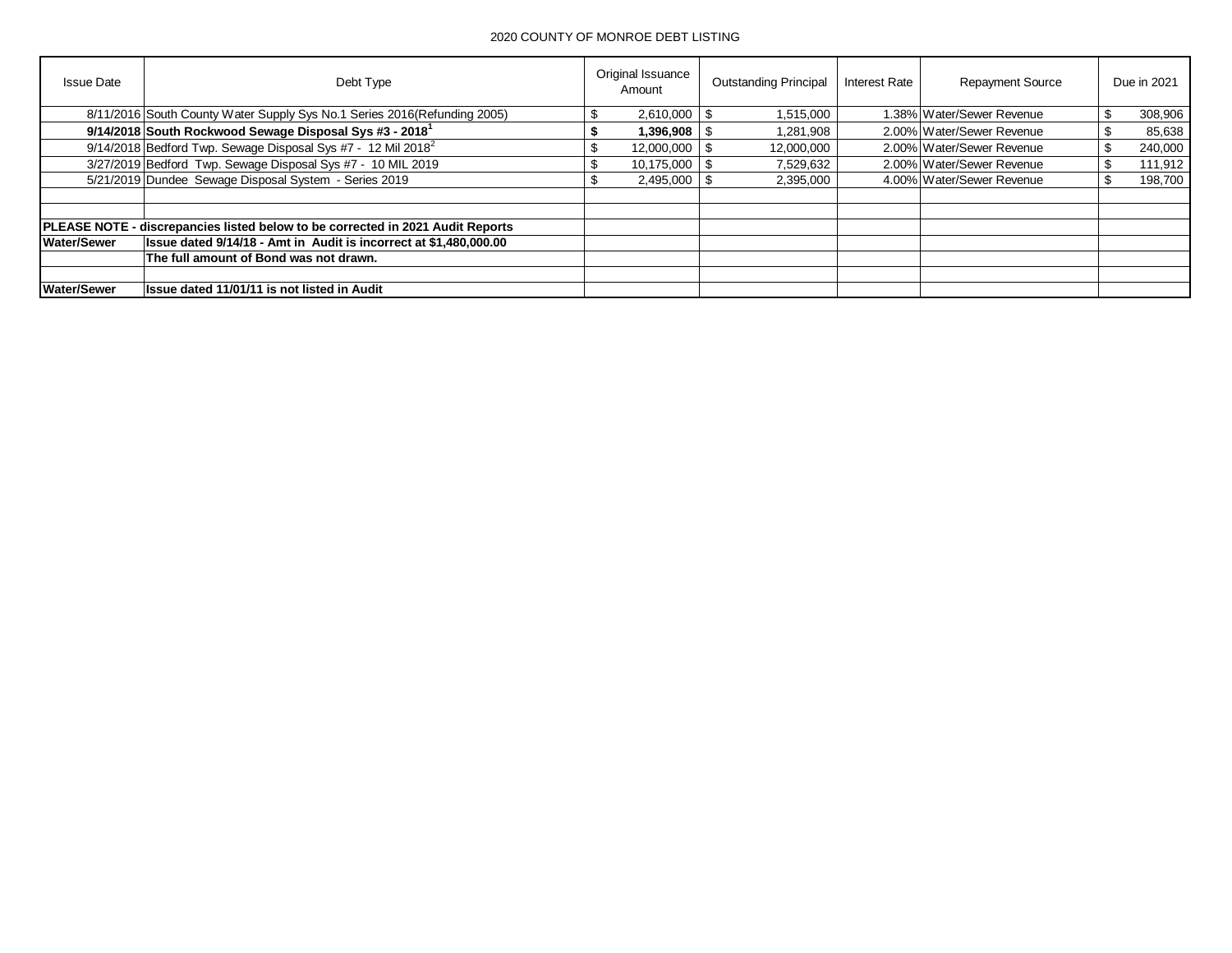| <b>Issue Date</b>  | Debt Type                                                                      | Original Issuance<br>Amount | <b>Outstanding Principal</b> | Interest Rate | <b>Repayment Source</b>   | Due in 2021 |
|--------------------|--------------------------------------------------------------------------------|-----------------------------|------------------------------|---------------|---------------------------|-------------|
|                    | 8/11/2016 South County Water Supply Sys No.1 Series 2016(Refunding 2005)       | 2,610,000                   | 1,515,000                    |               | 1.38% Water/Sewer Revenue | 308,906     |
|                    | 9/14/2018 South Rockwood Sewage Disposal Sys #3 - 2018 <sup>1</sup>            | 1,396,908                   | 1,281,908                    |               | 2.00% Water/Sewer Revenue | 85,638      |
|                    | 9/14/2018 Bedford Twp. Sewage Disposal Sys #7 - 12 Mil 2018 <sup>2</sup>       | 12,000,000                  | 12,000,000                   |               | 2.00% Water/Sewer Revenue | 240,000     |
|                    | 3/27/2019 Bedford Twp. Sewage Disposal Sys #7 - 10 MIL 2019                    | $10,175,000$   \$           | 7.529.632                    |               | 2.00% Water/Sewer Revenue | 111.912     |
|                    | 5/21/2019 Dundee Sewage Disposal System - Series 2019                          | $2,495,000$   \$            | 2,395,000                    |               | 4.00% Water/Sewer Revenue | 198,700     |
|                    |                                                                                |                             |                              |               |                           |             |
|                    | PLEASE NOTE - discrepancies listed below to be corrected in 2021 Audit Reports |                             |                              |               |                           |             |
| <b>Water/Sewer</b> | Issue dated 9/14/18 - Amt in Audit is incorrect at \$1,480,000.00              |                             |                              |               |                           |             |
|                    | The full amount of Bond was not drawn.                                         |                             |                              |               |                           |             |
|                    |                                                                                |                             |                              |               |                           |             |
| <b>Water/Sewer</b> | Issue dated 11/01/11 is not listed in Audit                                    |                             |                              |               |                           |             |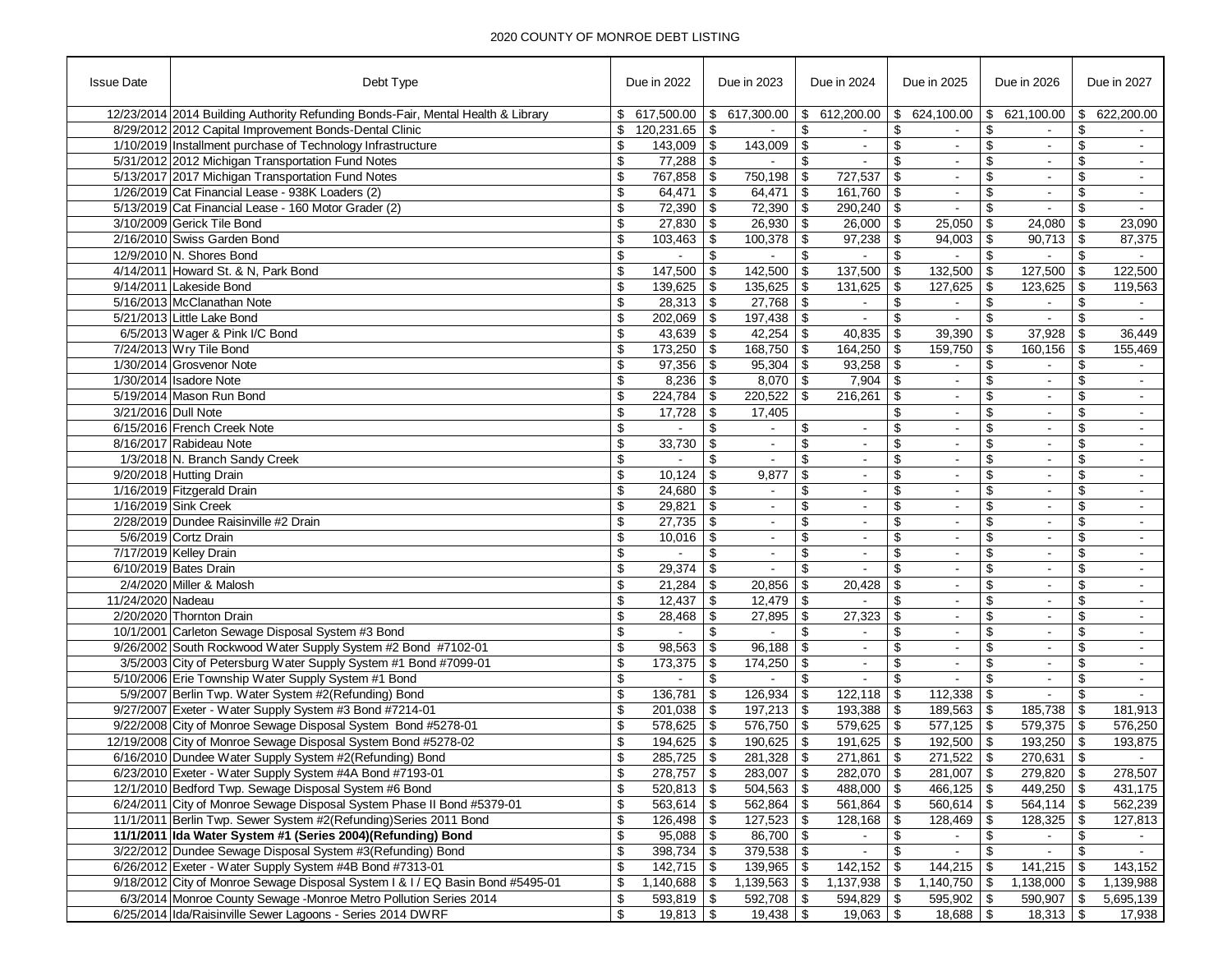| <b>Issue Date</b>    | Debt Type                                                                        | Due in 2022                    | Due in 2023                     | Due in 2024          | Due in 2025                                 | Due in 2026                    | Due in 2027          |
|----------------------|----------------------------------------------------------------------------------|--------------------------------|---------------------------------|----------------------|---------------------------------------------|--------------------------------|----------------------|
|                      | 12/23/2014 2014 Building Authority Refunding Bonds-Fair, Mental Health & Library | \$                             | 617,500.00   \$ 617,300.00      |                      | $$612,200.00 \;   \; $624,100.00 \;   \; $$ | 621,100.00                     | \$<br>622,200.00     |
|                      | 8/29/2012 2012 Capital Improvement Bonds-Dental Clinic                           | \$<br>120,231.65               | \$                              | \$                   | \$                                          | \$                             | \$                   |
|                      | 1/10/2019 Installment purchase of Technology Infrastructure                      | \$<br>$143,009$ \ \$           | $143,009$ \ \$                  | $\blacksquare$       | \$<br>$\blacksquare$                        | \$<br>$\blacksquare$           | \$<br>$\sim$         |
|                      | 5/31/2012 2012 Michigan Transportation Fund Notes                                | \$                             | $\mathbf{r}$                    | \$<br>$\omega$       | \$<br>$\blacksquare$                        | \$<br>$\blacksquare$           | \$<br>$\blacksquare$ |
|                      | 5/13/2017 2017 Michigan Transportation Fund Notes                                | \$<br>767,858                  | \$<br>750,198   \$              | 727,537              | -\$                                         | \$                             | \$                   |
|                      | 1/26/2019 Cat Financial Lease - 938K Loaders (2)                                 | \$<br>$64,471$ \\$             | $64,471$ \\$                    | $161,760$ \$         | $\blacksquare$                              | \$<br>$\blacksquare$           | \$<br>$\sim$         |
|                      | 5/13/2019 Cat Financial Lease - 160 Motor Grader (2)                             | \$<br>$72,390$ \ \$            | $72,390$ \$                     | $290,240$ \$         | $\blacksquare$                              | \$                             | \$<br>$\sim$         |
|                      | 3/10/2009 Gerick Tile Bond                                                       | \$<br>$27,830$ \$              | $26,930$ \$                     | $26,000$ \ \$        | $25,050$ \$                                 | 24,080                         | \$<br>23,090         |
|                      | 2/16/2010 Swiss Garden Bond                                                      | \$<br>$103,463$ \$             |                                 |                      | $94,003$ \$                                 | 90,713                         | \$<br>87,375         |
|                      | 12/9/2010 N. Shores Bond                                                         | \$                             | \$                              | \$                   | \$                                          | \$                             | \$                   |
|                      | 4/14/2011 Howard St. & N, Park Bond                                              | \$<br>$147,500$ \ \$           | $142,500$ \$                    | $137,500$ \$         | $132,500$ \$                                | 127,500                        | \$<br>122,500        |
|                      | 9/14/2011 Lakeside Bond                                                          | \$<br>$139,625$ \ \$           | $135,625$ \\$                   | $131,625$ \$         | $127,625$ \$                                | 123,625                        | \$<br>119,563        |
|                      | 5/16/2013 McClanathan Note                                                       | \$<br>$28,313$ \$              |                                 | $\blacksquare$       | \$                                          | \$                             | \$                   |
|                      | 5/21/2013 Little Lake Bond                                                       | \$<br>$202,069$ \ \$           | $197,438$ \$                    | $\sim$               | \$<br>$\overline{\phantom{a}}$              | \$                             | \$                   |
|                      | 6/5/2013 Wager & Pink I/C Bond                                                   | \$<br>$43,639$ \\$             |                                 | $40,835$ \$          | $39,390$ \$                                 | 37,928                         | \$<br>36,449         |
|                      | 7/24/2013 Wry Tile Bond                                                          | \$<br>$173,250$ \ \$           | $168,750$ \ \$                  | $164,250$ \$         | $159,750$ \$                                | 160,156                        | \$<br>155,469        |
|                      | 1/30/2014 Grosvenor Note                                                         | \$<br>$97,356$ \ \$            | $95,304$ \\$                    | $93,258$ \$          | $\overline{\phantom{a}}$                    | \$<br>$\blacksquare$           | \$                   |
|                      | 1/30/2014 Isadore Note                                                           | \$                             | $8,070$ \$                      | $7,904$ \$           | $\omega$                                    | \$<br>$\blacksquare$           | \$<br>$\blacksquare$ |
|                      | 5/19/2014 Mason Run Bond                                                         | \$                             |                                 |                      | $\vert$ \$                                  |                                | \$                   |
|                      |                                                                                  | $224,784$ \\$                  | $220,522$ \$                    | 216,261              | $\blacksquare$                              | \$<br>$\blacksquare$           | \$                   |
| 3/21/2016 Dull Note  |                                                                                  | \$                             | 17,405                          |                      | \$<br>$\blacksquare$                        | \$<br>$\sim$                   | $\blacksquare$       |
|                      | 6/15/2016 French Creek Note                                                      | \$                             | \$                              | \$<br>$\blacksquare$ | \$<br>$\blacksquare$                        | \$                             | \$<br>$\blacksquare$ |
|                      | 8/16/2017 Rabideau Note                                                          | \$<br>$33,730$ \ \$            | $\blacksquare$                  | \$<br>$\blacksquare$ | \$<br>$\blacksquare$                        | \$<br>$\blacksquare$           | \$<br>$\blacksquare$ |
|                      | 1/3/2018 N. Branch Sandy Creek                                                   | \$<br>$\sim$                   | \$<br>$\sim$                    | \$<br>$\sim$         | \$<br>$\blacksquare$                        | \$<br>$\blacksquare$           | \$<br>$\blacksquare$ |
|                      | 9/20/2018 Hutting Drain                                                          | \$<br>10,124                   | \$<br>9,877                     | \$<br>$\blacksquare$ | \$<br>$\sim$                                | \$                             | \$                   |
|                      | 1/16/2019 Fitzgerald Drain                                                       | \$<br>$24,680$ \ \$            | $\blacksquare$                  | \$<br>$\blacksquare$ | \$<br>$\blacksquare$                        | \$<br>$\overline{\phantom{a}}$ | \$<br>$\blacksquare$ |
| 1/16/2019 Sink Creek |                                                                                  | \$<br>$29,821$ \$              | $\blacksquare$                  | \$<br>$\blacksquare$ | \$<br>$\blacksquare$                        | \$<br>$\blacksquare$           | \$<br>$\blacksquare$ |
|                      | 2/28/2019 Dundee Raisinville #2 Drain                                            | \$<br>27,735                   | \$                              | \$<br>$\blacksquare$ | \$<br>$\blacksquare$                        | \$                             | \$                   |
|                      | 5/6/2019 Cortz Drain                                                             | \$<br>$10,016$ \ \$            | $\blacksquare$                  | \$<br>$\blacksquare$ | \$<br>$\blacksquare$                        | \$<br>$\blacksquare$           | \$<br>$\sim$         |
|                      | 7/17/2019 Kelley Drain                                                           | \$<br>$\sim$                   | \$<br>$\blacksquare$            | \$<br>$\blacksquare$ | \$<br>$\blacksquare$                        | \$<br>$\blacksquare$           | \$<br>$\blacksquare$ |
|                      | 6/10/2019 Bates Drain                                                            | 29,374<br>\$                   | \$                              | \$                   | \$<br>$\blacksquare$                        | \$                             | \$                   |
|                      | 2/4/2020 Miller & Malosh                                                         | \$                             | 20,856                          | \$<br>20,428         | \$<br>$\blacksquare$                        | \$<br>$\blacksquare$           | \$<br>$\blacksquare$ |
| 11/24/2020 Nadeau    |                                                                                  | \$<br>12,437                   | \$<br>$12,479$ \ \$             |                      | \$<br>$\blacksquare$                        | \$<br>$\blacksquare$           | \$<br>$\blacksquare$ |
|                      | 2/20/2020 Thornton Drain                                                         | \$<br>28,468                   | \$<br>$27,895$ \$               | 27,323               | \$<br>$\blacksquare$                        | \$<br>$\blacksquare$           | \$                   |
|                      | 10/1/2001 Carleton Sewage Disposal System #3 Bond                                | \$<br>$\sim$                   | \$<br>$\blacksquare$            | \$<br>$\sim$         | \$<br>$\sim$                                | \$<br>$\blacksquare$           | \$<br>$\omega$       |
|                      | 9/26/2002 South Rockwood Water Supply System #2 Bond #7102-01                    | \$<br>98,563                   | 96,188<br>\$                    | \$<br>$\blacksquare$ | \$<br>$\blacksquare$                        | \$                             | \$                   |
|                      | 3/5/2003 City of Petersburg Water Supply System #1 Bond #7099-01                 | \$<br>173,375                  | $174,250$ \ \$<br>  \$          | $\blacksquare$       | \$<br>$\blacksquare$                        | \$<br>$\blacksquare$           | \$<br>$\blacksquare$ |
|                      | 5/10/2006 Erie Township Water Supply System #1 Bond                              | \$<br>$\overline{\phantom{0}}$ | \$<br>$\mathbb{Z}^{\mathbb{Z}}$ | \$<br>$\omega$       | \$<br>$\overline{a}$                        | \$<br>$\blacksquare$           | \$<br>$\omega$       |
|                      | 5/9/2007 Berlin Twp. Water System #2(Refunding) Bond                             | \$<br>136,781                  | $126,934$ \$<br>\$              | $122,118$ \$         | $112,338$ \$                                |                                | \$                   |
|                      | 9/27/2007 Exeter - Water Supply System #3 Bond #7214-01                          | \$                             | $197,213$ \$                    | $193,388$ \$         | $189,563$ \$                                | 185,738                        | \$<br>181,913        |
|                      | 9/22/2008 City of Monroe Sewage Disposal System Bond #5278-01                    | \$<br>$578,625$ \\$            | $576,750$ \\$                   | $579,625$ \$         | $577,125$ \$                                | $579,375$ \\$                  | 576,250              |
|                      | 12/19/2008 City of Monroe Sewage Disposal System Bond #5278-02                   | \$<br>194,625                  | <b>S</b><br>$190,625$ \$        | $191,625$ \$         | $192,500$ \$                                | 193,250                        | \$<br>193,875        |
|                      | 6/16/2010 Dundee Water Supply System #2(Refunding) Bond                          | \$<br>$285,725$ \$             | $281,328$ \$                    | $271,861$ \$         | $271,522$ \$                                | $270,631$ \$                   | $\sim$               |
|                      | 6/23/2010 Exeter - Water Supply System #4A Bond #7193-01                         | \$                             | $283,007$ \ \$                  | 282,070   \$         | 281,007 \$                                  | $279,820$ \$                   | 278,507              |
|                      | 12/1/2010 Bedford Twp. Sewage Disposal System #6 Bond                            | \$<br>$520,813$ \\$            | $504,563$ \\$                   | 488,000   \$         | $466, 125$ \$                               | 449,250 $\frac{1}{3}$          | $\overline{431,175}$ |
|                      | 6/24/2011 City of Monroe Sewage Disposal System Phase II Bond #5379-01           | \$<br>$563,614$ \\$            | $562,864$ \$                    | $561,864$ \$         | $560,614$ \$                                | $564,114$ \\$                  | 562,239              |
|                      | 11/1/2011 Berlin Twp. Sewer System #2(Refunding) Series 2011 Bond                | \$                             |                                 | $128,168$ \ \$       | $128,469$ \$                                | 128,325                        | \$<br>127,813        |
|                      | 11/1/2011 Ida Water System #1 (Series 2004)(Refunding) Bond                      | \$<br>$95,088$ \ \ \$          | 86,700 \$                       | $\sim$               | \$<br>$\sim$                                | \$<br>$\sim$                   | \$<br>$\sim$         |
|                      | 3/22/2012 Dundee Sewage Disposal System #3(Refunding) Bond                       | \$<br>398,734   \$             | $379,538$ \$                    | $\sim$               | \$<br>$\sim$                                | \$<br>$\sim$                   | \$<br>$\sim$         |
|                      | 6/26/2012 Exeter - Water Supply System #4B Bond #7313-01                         | \$<br>$142,715$ \\$            | $139,965$ \ \$                  | $142,152$ \$         | $144,215$ \$                                | $141,215$ \$                   | 143,152              |
|                      | 9/18/2012 City of Monroe Sewage Disposal System I & I / EQ Basin Bond #5495-01   | \$                             |                                 | $1,137,938$ \$       | $1,140,750$ \$                              | 1,138,000                      | \$<br>1,139,988      |
|                      | 6/3/2014 Monroe County Sewage -Monroe Metro Pollution Series 2014                | \$<br>$593,819$ \\$            | $592,708$ \$                    | $594,829$ \$         | 595,902 \$                                  | 590,907 \$                     | 5,695,139            |
|                      | 6/25/2014 Ida/Raisinville Sewer Lagoons - Series 2014 DWRF                       | \$<br>$19,813$ $\sqrt{$}$      |                                 | $19,063$ \$          | $18,688$ \$                                 | $18,313$ \ \$                  | 17,938               |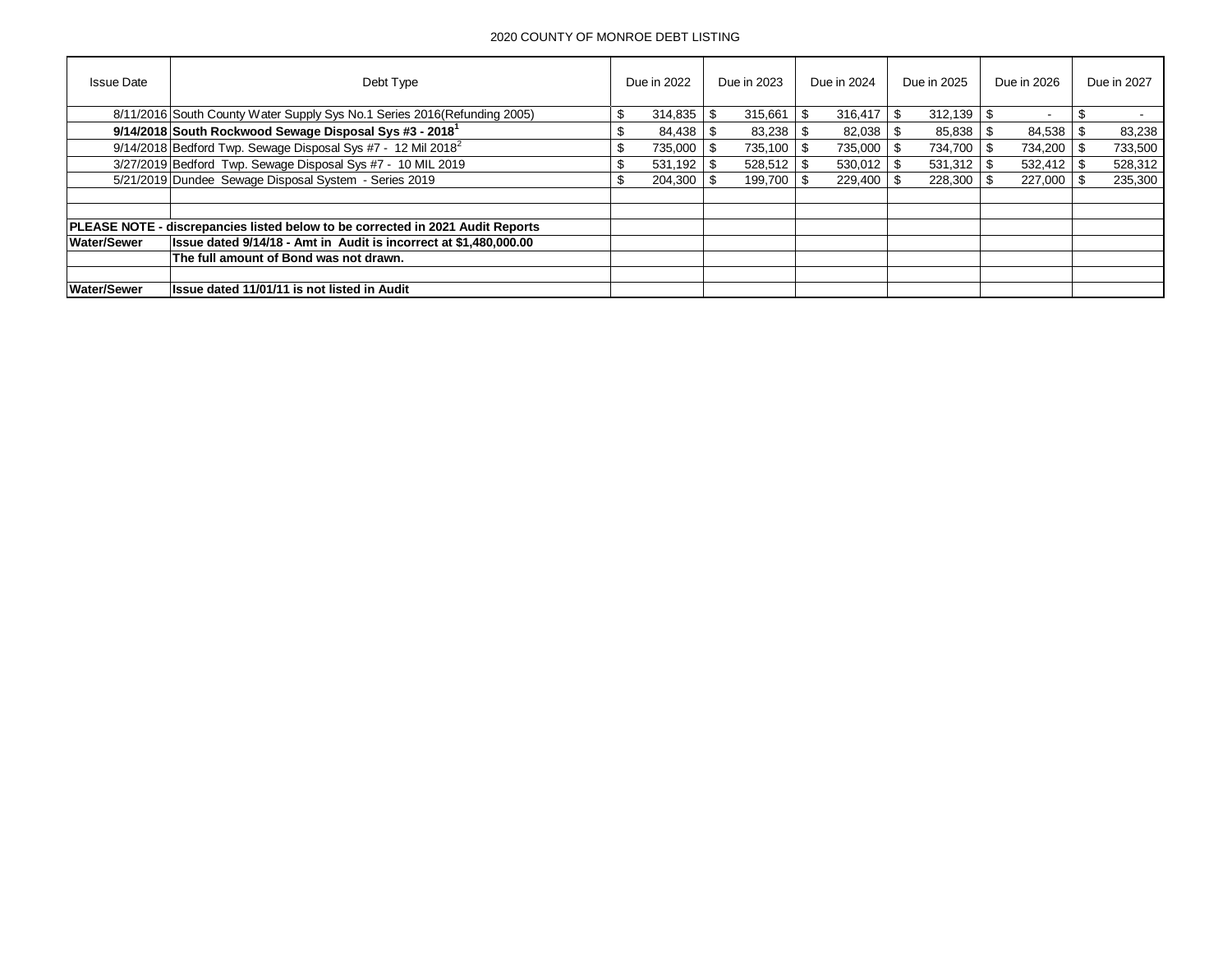| <b>Issue Date</b>  | Debt Type                                                                             |    | Due in 2022    |      | Due in 2023 |      | Due in 2024    | Due in 2025 |      | Due in 2026 | Due in 2027 |
|--------------------|---------------------------------------------------------------------------------------|----|----------------|------|-------------|------|----------------|-------------|------|-------------|-------------|
|                    | 8/11/2016 South County Water Supply Sys No.1 Series 2016(Refunding 2005)              | .১ |                |      | 315,661     | \$   | $316,417$ \$   | 312.139     | - \$ |             |             |
|                    | 9/14/2018 South Rockwood Sewage Disposal Sys #3 - 2018 <sup>1</sup>                   |    | 84,438         |      | 83,238      |      |                | 85,838      | -96  | 84,538      | 83,238      |
|                    | $9/14/2018$ Bedford Twp. Sewage Disposal Sys #7 - 12 Mil 2018 <sup>2</sup>            |    | 735,000        | - \$ | 735.100     | - \$ | 735,000 \$     | 734.700     | - \$ | 734.200     | 733,500     |
|                    | 3/27/2019 Bedford Twp. Sewage Disposal Sys #7 - 10 MIL 2019                           |    |                |      |             |      | $530,012$ \$   | 531,312     | ∣\$. | 532,412     | 528,312     |
|                    | 5/21/2019 Dundee Sewage Disposal System - Series 2019                                 |    | $204.300$ \ \$ |      | 199.700     |      | $229.400$ \ \$ | 228.300     |      | 227,000     | 235,300     |
|                    |                                                                                       |    |                |      |             |      |                |             |      |             |             |
|                    | <b>PLEASE NOTE - discrepancies listed below to be corrected in 2021 Audit Reports</b> |    |                |      |             |      |                |             |      |             |             |
| <b>Water/Sewer</b> | Issue dated 9/14/18 - Amt in Audit is incorrect at \$1,480,000.00                     |    |                |      |             |      |                |             |      |             |             |
|                    | The full amount of Bond was not drawn.                                                |    |                |      |             |      |                |             |      |             |             |
|                    |                                                                                       |    |                |      |             |      |                |             |      |             |             |
| <b>Water/Sewer</b> | Issue dated 11/01/11 is not listed in Audit                                           |    |                |      |             |      |                |             |      |             |             |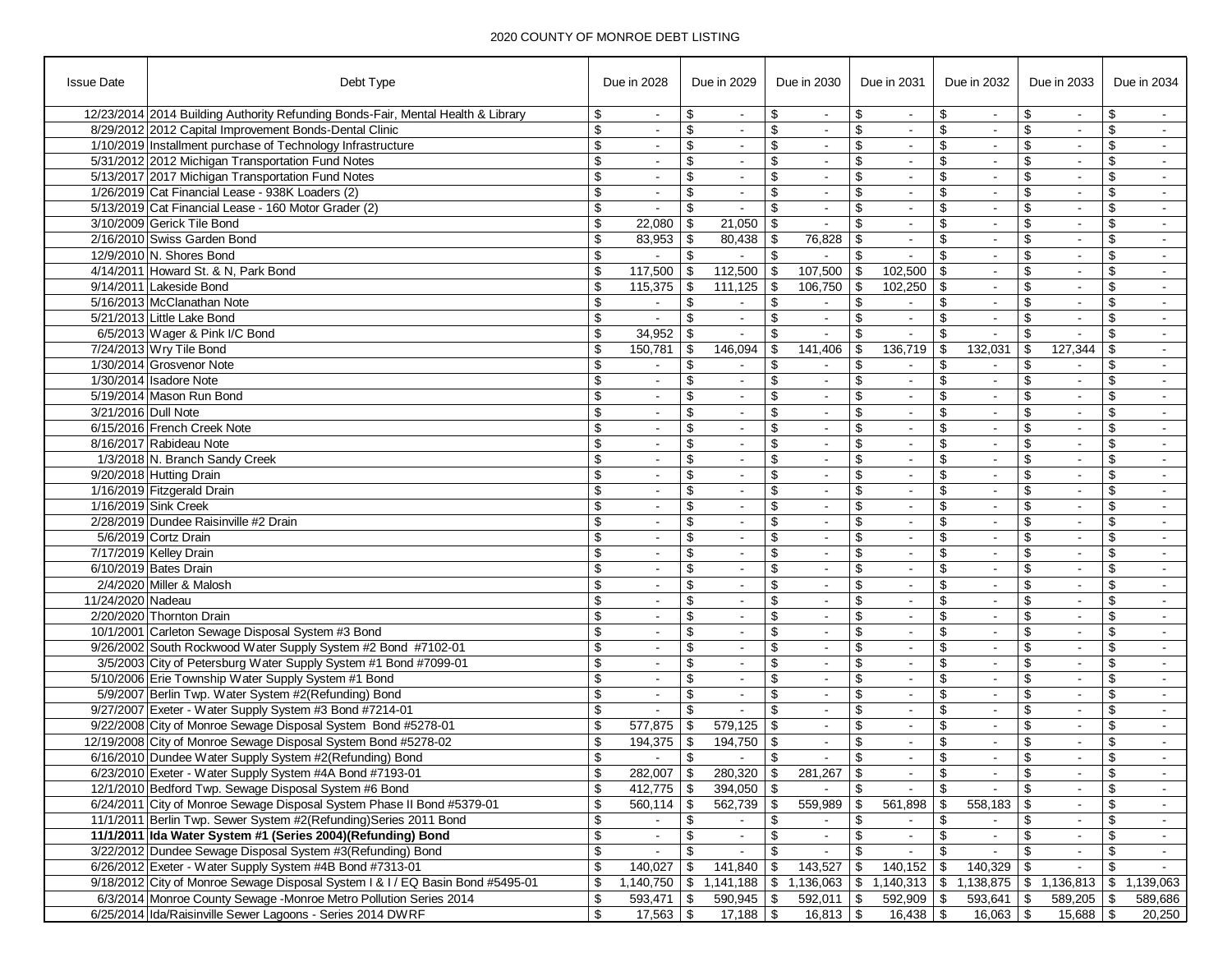| <b>Issue Date</b>   | Debt Type                                                                        |                                  | Due in 2028              |                         | Due in 2029                     |            | Due in 2030                                              |                 | Due in 2031              |                 | Due in 2032      |                | Due in 2033              | Due in 2034 |                         |
|---------------------|----------------------------------------------------------------------------------|----------------------------------|--------------------------|-------------------------|---------------------------------|------------|----------------------------------------------------------|-----------------|--------------------------|-----------------|------------------|----------------|--------------------------|-------------|-------------------------|
|                     | 12/23/2014 2014 Building Authority Refunding Bonds-Fair, Mental Health & Library | \$                               | $\sim$                   | \$                      | $\overline{\phantom{a}}$        | \$         | $\sim$                                                   | \$              | $\blacksquare$           | \$              | $\sim$           | \$             | $\overline{\phantom{a}}$ | \$          |                         |
|                     | 8/29/2012 2012 Capital Improvement Bonds-Dental Clinic                           | $\overline{\boldsymbol{\theta}}$ | $\sim$                   | \$                      | $\sim$                          | \$         | $\sim$                                                   | \$              | $\sim$                   | \$              | $\sim$           | \$             | $\blacksquare$           | \$          | $\sim$                  |
|                     | 1/10/2019 Installment purchase of Technology Infrastructure                      | $\overline{\$}$                  |                          | \$                      |                                 | \$         | $\blacksquare$                                           | \$              | $\overline{\phantom{a}}$ | \$              | $\blacksquare$   | \$             |                          | \$          |                         |
|                     | 5/31/2012 2012 Michigan Transportation Fund Notes                                | \$                               | $\sim$                   | \$                      | $\overline{\phantom{a}}$        | \$         | $\sim$                                                   | \$              | $\overline{\phantom{a}}$ | \$              | $\sim$           | \$             | $\blacksquare$           | \$          | $\blacksquare$          |
|                     | 5/13/2017 2017 Michigan Transportation Fund Notes                                | $\overline{\boldsymbol{\theta}}$ |                          | \$                      |                                 | \$         |                                                          | \$              | $\blacksquare$           | \$              | $\sim$           | \$             | $\blacksquare$           | \$          | $\blacksquare$          |
|                     | 1/26/2019 Cat Financial Lease - 938K Loaders (2)                                 | $\overline{\boldsymbol{\theta}}$ | $\blacksquare$           | \$                      | $\sim$                          | \$         | $\blacksquare$                                           | \$              | $\blacksquare$           | \$              | $\blacksquare$   | \$             | $\blacksquare$           | \$          |                         |
|                     | 5/13/2019 Cat Financial Lease - 160 Motor Grader (2)                             | \$                               | $\sim$                   | \$                      | $\overline{\phantom{a}}$        | \$         | $\sim$                                                   | \$              | $\sim$                   | \$              | $\sim$           | \$             | $\blacksquare$           | \$          | $\sim$                  |
|                     | 3/10/2009 Gerick Tile Bond                                                       | \$                               | 22,080                   | \$                      | 21,050                          | -\$        |                                                          | $\mathfrak{L}$  | $\sim$                   | \$              | $\mathbf{r}$     | \$             | $\blacksquare$           | \$          | $\sim$                  |
|                     | 2/16/2010 Swiss Garden Bond                                                      | \$                               | 83,953                   | \$                      | 80,438                          | \$         | 76,828                                                   | \$              | $\blacksquare$           | \$              | $\blacksquare$   | \$             | $\blacksquare$           | \$          | $\sim$                  |
|                     | 12/9/2010 N. Shores Bond                                                         | \$                               | $\sim$                   | \$                      | $\sim$                          | \$         | $\sim$                                                   | \$              | $\sim$                   | \$              | $\sim$           | \$             | $\blacksquare$           | \$          | $\sim$                  |
|                     | 4/14/2011 Howard St. & N, Park Bond                                              | $\overline{\boldsymbol{\theta}}$ | 117,500                  | \$                      | 112,500                         | \$         | 107,500                                                  | \$              | 102,500                  | \$              | $\omega$         | $\mathfrak{S}$ | $\blacksquare$           | \$          |                         |
|                     | 9/14/2011 Lakeside Bond                                                          | $\overline{\$}$                  | $115,375$ \$             |                         | $111,125$ \$                    |            | 106,750                                                  | \$              | 102,250                  | \$              | $\blacksquare$   | \$             | $\overline{\phantom{a}}$ | \$          | $\sim$                  |
|                     | 5/16/2013 McClanathan Note                                                       | \$                               | $\sim$                   | \$                      | $\sim$                          | \$         | $\sim$                                                   | \$              | $\sim$                   | \$              | $\sim$           | \$             | $\overline{\phantom{a}}$ | \$          |                         |
|                     | 5/21/2013 Little Lake Bond                                                       | \$                               |                          | $\mathfrak{L}$          | $\sim$                          | \$         | $\sim$                                                   | \$              | $\sim$                   | \$              | $\mathbf{r}$     | \$             |                          |             |                         |
|                     | 6/5/2013 Wager & Pink I/C Bond                                                   | \$                               | 34,952                   | \$                      | $\sim$                          | \$         | $\sim$                                                   | \$              | $\overline{\phantom{a}}$ | \$              | $\blacksquare$   | \$             | $\blacksquare$           | \$          | $\sim$                  |
|                     | 7/24/2013 Wry Tile Bond                                                          | \$                               | 150,781                  | \$                      | 146,094                         | \$         | 141,406                                                  | \$              | 136,719                  | \$              | 132,031          | -\$            | 127,344                  | \$          | $\blacksquare$          |
|                     | 1/30/2014 Grosvenor Note                                                         | $\overline{\boldsymbol{\theta}}$ |                          | \$                      |                                 | \$         |                                                          | \$              |                          | \$              |                  | \$             |                          | \$          |                         |
|                     | 1/30/2014 Isadore Note                                                           | \$                               | $\sim$                   | \$                      | $\blacksquare$                  | \$         | $\sim$                                                   | \$              | $\sim$                   | \$              | $\sim$           | \$             | $\blacksquare$           | \$          | $\sim$                  |
|                     | 5/19/2014 Mason Run Bond                                                         | \$                               | $\sim$                   | \$                      |                                 | \$         | $\blacksquare$                                           | \$              | $\overline{\phantom{a}}$ | \$              | $\blacksquare$   | \$             |                          | \$          |                         |
| 3/21/2016 Dull Note |                                                                                  | $\overline{\boldsymbol{\theta}}$ | $\blacksquare$           | \$                      |                                 | \$         | $\blacksquare$                                           | \$              | $\sim$                   | \$              | $\omega$         | \$             | $\blacksquare$           | \$          | $\sim$                  |
|                     | 6/15/2016 French Creek Note                                                      | \$                               | $\sim$                   | \$                      | $\sim$                          | \$         | $\sim$                                                   | \$              | $\blacksquare$           | \$              | $\sim$           | \$             | $\blacksquare$           | \$          | $\sim$                  |
|                     | 8/16/2017 Rabideau Note                                                          | \$                               | $\sim$                   | \$                      |                                 | \$         | $\sim$                                                   | \$              | $\blacksquare$           | \$              | $\blacksquare$   | \$             | $\blacksquare$           | \$          | $\blacksquare$          |
|                     | 1/3/2018 N. Branch Sandy Creek                                                   | $\overline{\mathcal{L}}$         | $\sim$                   | \$                      |                                 | \$         | $\blacksquare$                                           | \$              | $\overline{\phantom{a}}$ | \$              | $\blacksquare$   | \$             | $\overline{\phantom{a}}$ | \$          | $\blacksquare$          |
|                     | 9/20/2018 Hutting Drain                                                          | $\overline{\boldsymbol{\theta}}$ | $\sim$                   | $\sqrt[6]{\frac{1}{2}}$ | $\sim$                          | \$         | $\sim$                                                   | \$              | $\sim$                   | $\sqrt[6]{3}$   | $\omega_{\rm c}$ | \$             | $\blacksquare$           | \$          | $\blacksquare$          |
|                     | 1/16/2019 Fitzgerald Drain                                                       | $\overline{\boldsymbol{\theta}}$ | $\sim$                   | \$                      |                                 | \$         | $\blacksquare$                                           | \$              | $\overline{\phantom{a}}$ | \$              | $\blacksquare$   | \$             | $\blacksquare$           | \$          | $\blacksquare$          |
|                     | 1/16/2019 Sink Creek                                                             | \$                               | $\sim$                   | \$                      | $\overline{\phantom{a}}$        | \$         | $\sim$                                                   | \$              | $\blacksquare$           | \$              | $\blacksquare$   | \$             | $\blacksquare$           | \$          | $\sim$                  |
|                     | 2/28/2019 Dundee Raisinville #2 Drain                                            | $\overline{\boldsymbol{\theta}}$ |                          | \$                      |                                 | \$         | $\sim$                                                   | \$              | $\sim$                   | \$              | $\sim$           | \$             | $\blacksquare$           | \$          | $\sim$                  |
|                     | 5/6/2019 Cortz Drain                                                             | \$                               | $\sim$                   | \$                      |                                 | \$         | $\blacksquare$                                           | \$              | $\overline{\phantom{a}}$ | \$              | $\blacksquare$   | \$             | $\blacksquare$           | \$          |                         |
|                     | 7/17/2019 Kelley Drain                                                           | \$                               | $\sim$                   | \$                      | $\overline{\phantom{a}}$        | \$         | $\sim$                                                   | \$              | $\blacksquare$           | \$              | $\sim$           | \$             | $\blacksquare$           | \$          | $\sim$                  |
|                     | 6/10/2019 Bates Drain                                                            | $\overline{\$}$                  | $\blacksquare$           | \$                      | $\sim$                          | \$         | $\sim$                                                   | \$              | $\sim$                   | \$              | $\sim$           | \$             | $\blacksquare$           | \$          | $\blacksquare$          |
|                     | 2/4/2020 Miller & Malosh                                                         | $\overline{\$}$                  | $\sim$                   | \$                      |                                 | \$         | $\blacksquare$                                           | \$              | $\blacksquare$           | \$              | $\blacksquare$   | \$             | $\blacksquare$           | \$          | $\sim$                  |
| 11/24/2020 Nadeau   |                                                                                  | \$                               | $\sim$                   | \$                      | $\sim$                          | \$         | $\sim$                                                   | \$              | $\sim$                   | \$              | $\sim$           | \$             | $\blacksquare$           | \$          | $\blacksquare$          |
|                     | 2/20/2020 Thornton Drain                                                         | \$                               |                          | \$                      |                                 | \$         | $\sim$                                                   | \$              | $\sim$                   | \$              | $\mathbf{r}$     | \$             | $\blacksquare$           | \$          | $\sim$                  |
|                     | 10/1/2001 Carleton Sewage Disposal System #3 Bond                                | $\overline{\boldsymbol{\theta}}$ | $\sim$                   | \$                      |                                 | \$         | $\blacksquare$                                           | \$              | $\blacksquare$           | \$              | $\blacksquare$   | \$             | $\blacksquare$           | \$          | $\sim$                  |
|                     | 9/26/2002 South Rockwood Water Supply System #2 Bond #7102-01                    | \$                               | $\sim$                   | \$                      | $\sim$                          | \$         | $\sim$                                                   | \$              | $\sim$                   | \$              | $\blacksquare$   | \$             | $\blacksquare$           | \$          |                         |
|                     | 3/5/2003 City of Petersburg Water Supply System #1 Bond #7099-01                 | $\overline{\boldsymbol{\theta}}$ | $\overline{\phantom{a}}$ | \$                      |                                 | \$         |                                                          | \$              | $\sim$                   | \$              | $\blacksquare$   | $\mathfrak{S}$ | $\blacksquare$           | \$          | $\blacksquare$          |
|                     | 5/10/2006 Erie Township Water Supply System #1 Bond                              | \$                               | $\sim$                   | \$                      | $\sim$                          | \$         | $\sim$                                                   | \$              | $\sim$                   | $\overline{\$}$ | $\blacksquare$   | \$             | $\overline{\phantom{a}}$ | \$          | $\sim$                  |
|                     | 5/9/2007 Berlin Twp. Water System #2(Refunding) Bond                             | \$                               | $\sim$                   | \$                      | $\sim$                          | \$         | $\sim$                                                   | \$              | $\sim$                   | \$              | $\omega$         | \$             | $\blacksquare$           | \$          | $\blacksquare$          |
|                     | 9/27/2007 Exeter - Water Supply System #3 Bond #7214-01                          | $\overline{\$}$                  |                          | \$                      |                                 | \$         | $\sim$                                                   | \$              | $\sim$                   | \$              | $\mathbf{r}$     | \$             |                          | \$          |                         |
|                     | 9/22/2008 City of Monroe Sewage Disposal System Bond #5278-01                    | \$                               | 577.875                  | \$                      | 579,125                         | -\$        | $\sim$                                                   | \$              | $\sim$                   | \$              | $\sim$           | \$             | $\blacksquare$           | \$          | $\sim$                  |
|                     | 12/19/2008 City of Monroe Sewage Disposal System Bond #5278-02                   | \$                               | 194,375                  | \$                      | 194,750                         | -\$        | $\sim$                                                   | \$              | $\sim$                   | \$              | $\blacksquare$   | \$             | $\blacksquare$           | \$          | $\sim$                  |
|                     | 6/16/2010 Dundee Water Supply System #2(Refunding) Bond                          | $\overline{\$}$                  |                          | \$                      |                                 | $\sqrt{ }$ |                                                          | $\overline{\$}$ |                          | $\overline{\$}$ |                  | $\sqrt[6]{3}$  |                          | $\pmb{\$}$  |                         |
|                     | 6/23/2010 Exeter - Water Supply System #4A Bond #7193-01                         | $\overline{\boldsymbol{\theta}}$ | 282,007 \$               |                         | 280,320 \$                      |            | 281,267                                                  | \$              | $\blacksquare$           | \$              | $\blacksquare$   | \$             | $\blacksquare$           | \$          | $\blacksquare$          |
|                     | 12/1/2010 Bedford Twp. Sewage Disposal System #6 Bond                            | \$                               | $412,775$ \\$            |                         | $394,050$ \ \$                  |            |                                                          | \$              |                          | \$              |                  | \$             |                          | \$          |                         |
|                     | 6/24/2011 City of Monroe Sewage Disposal System Phase II Bond #5379-01           | $\boldsymbol{\theta}$            | 560,114                  | \$                      | $562,739$ \$                    |            | 559,989                                                  | \$              | 561,898                  | \$              | 558,183          | \$             | $\overline{\phantom{a}}$ | \$          |                         |
|                     | 11/1/2011 Berlin Twp. Sewer System #2(Refunding) Series 2011 Bond                | \$                               | $\sim$                   | \$                      | $\sim$                          | \$         | $\sim$                                                   | \$              | $\sim$                   | \$              | $\sim$           | \$             | $\blacksquare$           | \$          | $\sim$                  |
|                     | 11/1/2011 Ida Water System #1 (Series 2004)(Refunding) Bond                      | \$                               | $\blacksquare$           | \$                      | $\blacksquare$                  | \$         | $\blacksquare$                                           | \$              | $\blacksquare$           | \$              | $\blacksquare$   | \$             | $\blacksquare$           | \$          |                         |
|                     | 3/22/2012 Dundee Sewage Disposal System #3(Refunding) Bond                       | \$                               | $\sim$                   | \$                      | $\sim$                          | \$         | $\sim$                                                   | \$              | $\sim$                   | - \$            | $\sim$           | \$             | $\overline{\phantom{a}}$ | \$          | $\sim$                  |
|                     | 6/26/2012 Exeter - Water Supply System #4B Bond #7313-01                         | \$                               | 140,027                  | \$                      | 141,840                         | \$         | 143,527                                                  | \$              | 140, 152                 | <b>S</b>        | 140,329          | l \$           |                          | \$          | $\sim$                  |
|                     | 9/18/2012 City of Monroe Sewage Disposal System I & I / EQ Basin Bond #5495-01   | \$                               |                          |                         | $1,140,750$ \ \$ 1,141,188 \ \$ |            | $1,136,063$ \$ $1,140,313$ \$ $1,138,875$ \$ $1,136,813$ |                 |                          |                 |                  |                |                          |             | $\frac{1}{2}$ 1,139,063 |
|                     | 6/3/2014 Monroe County Sewage -Monroe Metro Pollution Series 2014                | \$                               | $593,471$ \\$            |                         | $590,945$ \$                    |            | $592,011$ \\$                                            |                 | $592,909$ \\$            |                 | $593,641$ \$     |                | 589,205                  | -\$         | 589,686                 |
|                     | 6/25/2014 Ida/Raisinville Sewer Lagoons - Series 2014 DWRF                       | $\sqrt{2}$                       | $17,563$ \$              |                         | $17,188$ \$                     |            | $16,813$ \$                                              |                 |                          |                 | $16,063$ \$      |                | $15,688$ \$              |             | 20,250                  |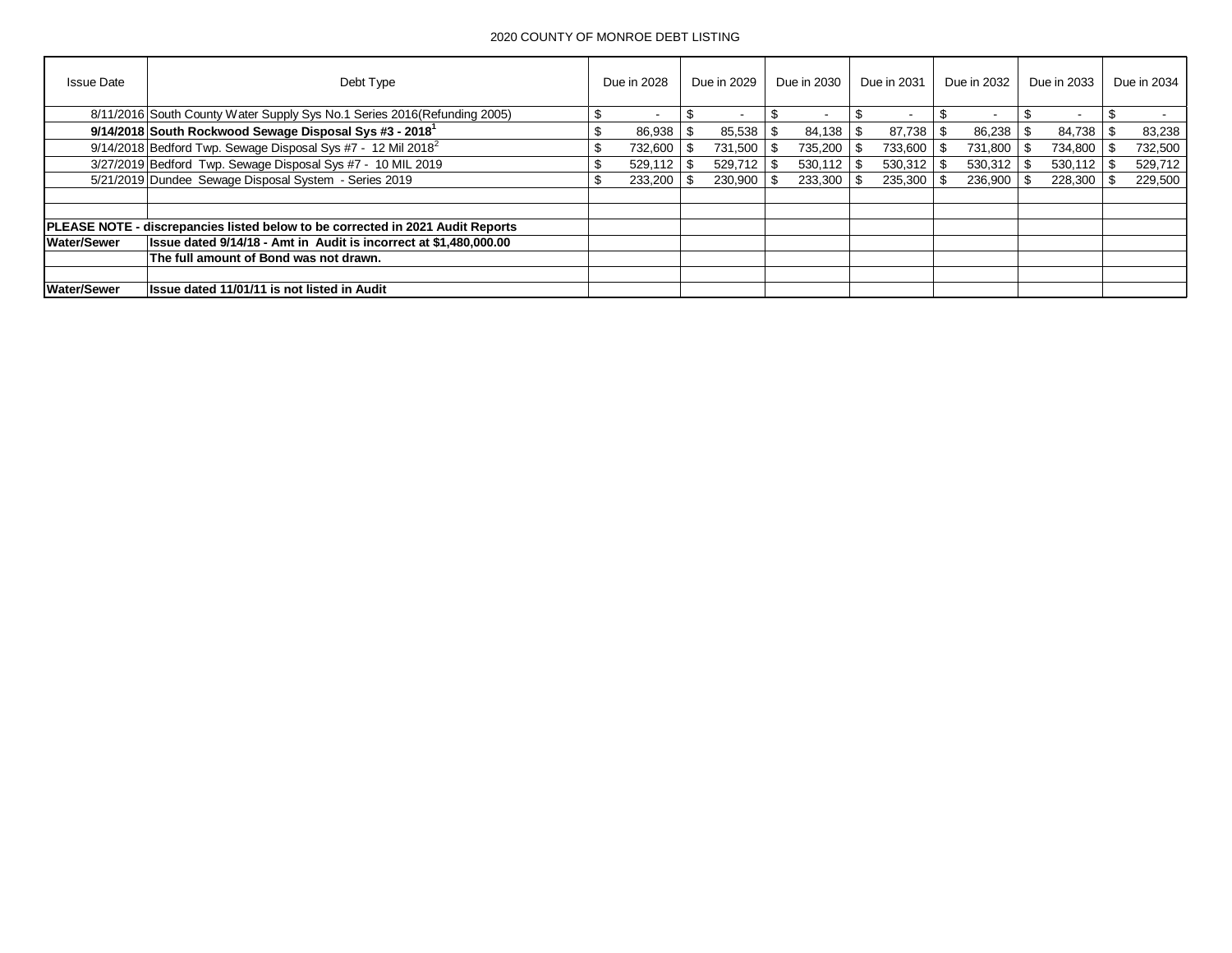| <b>Issue Date</b>  | Debt Type                                                                             | Due in 2028              |      | Due in 2029    |      | Due in 2030 |      | Due in 2031    |      | Due in 2032 |     | Due in 2033 | Due in 2034 |
|--------------------|---------------------------------------------------------------------------------------|--------------------------|------|----------------|------|-------------|------|----------------|------|-------------|-----|-------------|-------------|
|                    | 8/11/2016 South County Water Supply Sys No.1 Series 2016(Refunding 2005)              | $\overline{\phantom{a}}$ |      |                |      |             |      |                |      |             |     |             |             |
|                    | 9/14/2018 South Rockwood Sewage Disposal Sys #3 - 2018 <sup>1</sup>                   | \$<br>86.938             | - \$ | 85.538         | - SS | 84.138      | - \$ | 87.738         | - \$ | 86.238      | -\$ | 84.738      | 83,238      |
|                    | 9/14/2018 Bedford Twp. Sewage Disposal Sys #7 - 12 Mil 2018 <sup>2</sup>              | 732,600                  |      | 731.500        |      | 735,200     | -\$  | 733,600        |      | 731,800     |     | 734,800     | 732,500     |
|                    | 3/27/2019 Bedford Twp. Sewage Disposal Sys #7 - 10 MIL 2019                           | \$<br>529,112            | -SS  | $529.712$   \$ |      | 530,112     | - \$ | 530,312        |      | 530,312     |     | 530,112     | 529,712     |
|                    | 5/21/2019 Dundee Sewage Disposal System - Series 2019                                 | \$<br>233,200            |      | $230.900$ \ \$ |      | 233.300     | - \$ | $235,300$ \ \$ |      | 236,900     |     | 228,300     | 229,500     |
|                    |                                                                                       |                          |      |                |      |             |      |                |      |             |     |             |             |
|                    |                                                                                       |                          |      |                |      |             |      |                |      |             |     |             |             |
|                    | <b>PLEASE NOTE - discrepancies listed below to be corrected in 2021 Audit Reports</b> |                          |      |                |      |             |      |                |      |             |     |             |             |
| <b>Water/Sewer</b> | Issue dated 9/14/18 - Amt in Audit is incorrect at \$1,480,000.00                     |                          |      |                |      |             |      |                |      |             |     |             |             |
|                    | The full amount of Bond was not drawn.                                                |                          |      |                |      |             |      |                |      |             |     |             |             |
|                    |                                                                                       |                          |      |                |      |             |      |                |      |             |     |             |             |
| <b>Water/Sewer</b> | <b>Issue dated 11/01/11 is not listed in Audit</b>                                    |                          |      |                |      |             |      |                |      |             |     |             |             |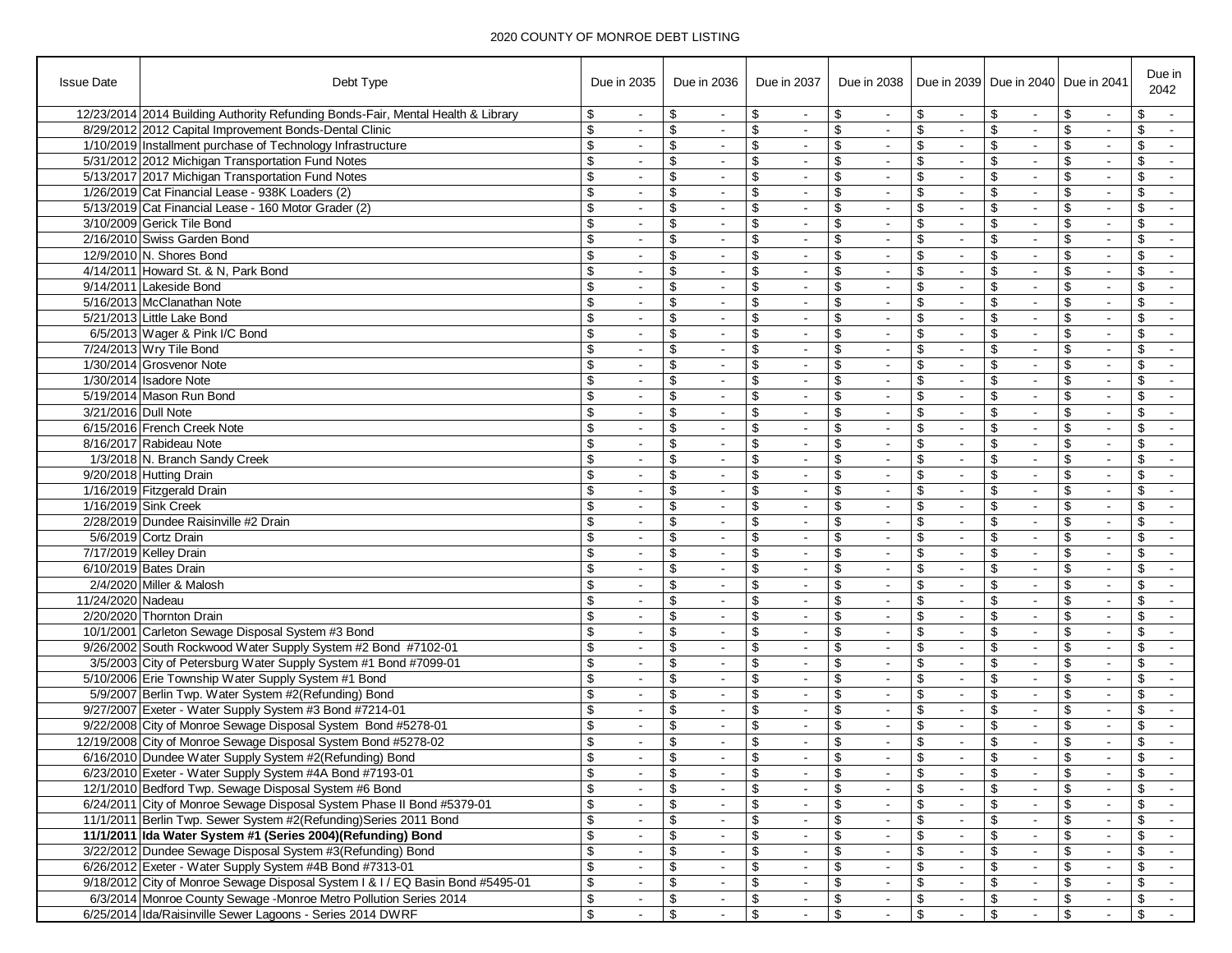| <b>Issue Date</b>   | Debt Type                                                                        | Due in 2035                           | Due in 2036 |                |                         | Due in 2037              | Due in 2038                            |                |                      |                          |                          | Due in 2039 Due in 2040 Due in 2041 |                   |                |                         | Due in<br>2042           |
|---------------------|----------------------------------------------------------------------------------|---------------------------------------|-------------|----------------|-------------------------|--------------------------|----------------------------------------|----------------|----------------------|--------------------------|--------------------------|-------------------------------------|-------------------|----------------|-------------------------|--------------------------|
|                     | 12/23/2014 2014 Building Authority Refunding Bonds-Fair, Mental Health & Library | \$                                    | \$          | $\blacksquare$ | \$                      |                          | \$                                     |                | \$                   |                          | \$                       |                                     | \$                |                | \$                      |                          |
|                     | 8/29/2012 2012 Capital Improvement Bonds-Dental Clinic                           | \$<br>$\sim$                          | \$          | $\sim$         | \$                      | $\overline{\phantom{a}}$ | \$                                     | $\sim$         | \$                   | $\overline{\phantom{a}}$ | \$                       | $\blacksquare$                      | \$                | $\sim$         | \$                      | $\blacksquare$           |
|                     | 1/10/2019 Installment purchase of Technology Infrastructure                      | \$<br>$\blacksquare$                  | \$          | $\sim$         | \$                      |                          | \$                                     | $\sim$         | \$                   | $\blacksquare$           | \$                       | $\blacksquare$                      | \$                | $\sim$         | \$                      | $\sim$                   |
|                     | 5/31/2012 2012 Michigan Transportation Fund Notes                                | \$                                    | \$          | $\blacksquare$ | \$                      |                          | \$                                     | $\blacksquare$ | \$                   | $\blacksquare$           | \$                       | $\blacksquare$                      | \$                |                | \$                      | $\sim$                   |
|                     | 5/13/2017 2017 Michigan Transportation Fund Notes                                | \$<br>$\sim$                          | \$          | $\blacksquare$ | \$                      | $\sim$                   | \$                                     | $\sim$         | \$                   | $\blacksquare$           | $\overline{\mathcal{L}}$ | $\sim$                              | \$                | $\blacksquare$ | \$                      | $\blacksquare$           |
|                     | 1/26/2019 Cat Financial Lease - 938K Loaders (2)                                 | \$                                    | \$          | $\blacksquare$ | \$                      |                          | \$                                     | $\blacksquare$ | \$                   | $\blacksquare$           | \$                       | $\blacksquare$                      | \$                | $\blacksquare$ | \$                      | $\blacksquare$           |
|                     | 5/13/2019 Cat Financial Lease - 160 Motor Grader (2)                             | \$                                    | \$          | $\sim$         | \$                      |                          | \$                                     | $\blacksquare$ | \$                   | $\blacksquare$           | \$                       | $\overline{\phantom{a}}$            | \$                | $\blacksquare$ | \$                      | $\blacksquare$           |
|                     | 3/10/2009 Gerick Tile Bond                                                       | \$<br>$\blacksquare$                  | \$          | $\blacksquare$ | \$                      |                          | $\boldsymbol{\mathsf{s}}$              | $\blacksquare$ | \$                   | $\blacksquare$           | \$                       | $\omega$                            | \$                | $\blacksquare$ | \$                      | $\blacksquare$           |
|                     | 2/16/2010 Swiss Garden Bond                                                      | \$                                    | \$          | $\blacksquare$ | \$                      |                          | \$                                     | $\blacksquare$ | \$                   | $\blacksquare$           | \$                       | $\blacksquare$                      | \$                | $\blacksquare$ | \$                      | $\sim$                   |
|                     | 12/9/2010 N. Shores Bond                                                         | \$                                    | \$          | $\blacksquare$ | \$                      | $\overline{\phantom{a}}$ | \$                                     | $\blacksquare$ | \$                   | $\blacksquare$           | \$                       | $\blacksquare$                      | \$                | $\blacksquare$ | \$                      | $\overline{\phantom{a}}$ |
|                     | 4/14/2011 Howard St. & N. Park Bond                                              | \$<br>$\blacksquare$                  | \$          | $\blacksquare$ | \$                      |                          | \$                                     | $\blacksquare$ | \$                   | $\blacksquare$           | \$                       | $\blacksquare$                      | \$                | $\blacksquare$ | \$                      | $\blacksquare$           |
|                     | 9/14/2011 Lakeside Bond                                                          | \$<br>$\blacksquare$                  | \$          | $\blacksquare$ | \$                      |                          | $\overline{\mathcal{S}}$               | $\blacksquare$ | \$                   |                          | \$                       | $\blacksquare$                      | \$                | $\blacksquare$ | \$                      | $\blacksquare$           |
|                     | 5/16/2013 McClanathan Note                                                       | \$<br>$\sim$                          | \$          | $\blacksquare$ | \$                      | $\overline{\phantom{a}}$ | \$                                     | $\sim$         | \$                   | $\blacksquare$           | \$                       | $\blacksquare$                      | \$                | $\blacksquare$ | \$                      | $\sim$                   |
|                     | 5/21/2013 Little Lake Bond                                                       | \$<br>$\blacksquare$                  | \$          | $\blacksquare$ | \$                      |                          | \$                                     | $\blacksquare$ | \$                   | $\blacksquare$           | \$                       | $\blacksquare$                      | \$                | $\blacksquare$ | \$                      | $\sim$                   |
|                     | 6/5/2013 Wager & Pink I/C Bond                                                   | \$<br>$\blacksquare$                  | \$          | $\blacksquare$ | \$                      |                          | \$                                     | $\blacksquare$ | \$                   | $\blacksquare$           | \$                       | $\blacksquare$                      | \$                | $\blacksquare$ | \$                      | $\sim$                   |
|                     | 7/24/2013 Wry Tile Bond                                                          | \$                                    | \$          | $\blacksquare$ | \$                      |                          | \$                                     | $\blacksquare$ | \$                   | $\blacksquare$           | \$                       | $\blacksquare$                      | \$                | $\blacksquare$ | \$                      | $\blacksquare$           |
|                     | 1/30/2014 Grosvenor Note                                                         | \$                                    | \$          | $\blacksquare$ | \$                      |                          | \$                                     | $\blacksquare$ | \$                   | $\blacksquare$           | \$                       | $\blacksquare$                      | \$                |                | \$                      | $\blacksquare$           |
|                     | 1/30/2014 Isadore Note                                                           | \$<br>$\blacksquare$                  | \$          | $\sim$         | \$                      |                          | \$                                     | $\blacksquare$ | \$                   | $\blacksquare$           | \$                       | $\blacksquare$                      | \$                | $\blacksquare$ | \$                      | $\sim$                   |
|                     | 5/19/2014 Mason Run Bond                                                         | \$<br>$\sim$                          | \$          | $\blacksquare$ | \$                      | $\sim$                   | \$                                     | $\sim$         | \$                   | $\blacksquare$           | \$                       | $\blacksquare$                      | \$                | $\sim$         | \$                      | $\sim$                   |
| 3/21/2016 Dull Note |                                                                                  | \$                                    | \$          | $\blacksquare$ | \$                      |                          | \$                                     | $\blacksquare$ | \$                   | $\blacksquare$           | \$                       | $\blacksquare$                      | \$                | $\blacksquare$ | \$                      | $\blacksquare$           |
|                     | 6/15/2016 French Creek Note                                                      | \$<br>$\sim$                          | \$          | $\blacksquare$ | \$                      | $\overline{\phantom{a}}$ | \$                                     | $\sim$         | \$                   | $\overline{\phantom{a}}$ | \$                       | $\blacksquare$                      | \$                | $\blacksquare$ | \$                      | $\sim$                   |
|                     | 8/16/2017 Rabideau Note                                                          | \$<br>$\sim$                          | \$          | $\omega$       | \$                      |                          | \$                                     | $\blacksquare$ | \$                   | $\blacksquare$           | \$                       | $\blacksquare$                      | \$                | $\sim$         | \$                      | $\sim$                   |
|                     | 1/3/2018 N. Branch Sandy Creek                                                   | \$                                    | \$          | $\blacksquare$ | \$                      |                          | $\sqrt[6]{\frac{1}{2}}$                | $\blacksquare$ | \$                   |                          | \$                       |                                     | \$                | $\blacksquare$ | \$                      | $\blacksquare$           |
|                     | 9/20/2018 Hutting Drain                                                          | \$<br>$\sim$                          | \$          | $\blacksquare$ | \$                      |                          | \$                                     | $\sim$         | \$<br>\$             | $\blacksquare$           | $\overline{\mathcal{L}}$ | $\blacksquare$                      | \$                | $\blacksquare$ | \$                      | $\sim$                   |
|                     | 1/16/2019 Fitzgerald Drain<br>1/16/2019 Sink Creek                               | \$                                    | \$<br>\$    | $\blacksquare$ | \$<br>\$                |                          | \$                                     | $\blacksquare$ | \$                   |                          | \$<br>\$                 | $\blacksquare$                      | \$<br>\$          |                | \$<br>\$                | $\blacksquare$           |
|                     | 2/28/2019 Dundee Raisinville #2 Drain                                            | \$<br>\$<br>$\sim$                    | \$          | $\blacksquare$ | \$                      | $\sim$                   | \$<br>\$                               | $\sim$         | \$                   | $\blacksquare$           | $\overline{\$}$          | $\blacksquare$                      | \$                | $\sim$         | \$                      | $\sim$<br>$\blacksquare$ |
|                     | 5/6/2019 Cortz Drain                                                             | \$                                    | \$          | $\blacksquare$ | \$                      |                          | \$                                     | $\blacksquare$ | \$                   |                          | \$                       | $\blacksquare$                      | \$                | $\blacksquare$ | \$                      | $\blacksquare$           |
|                     | 7/17/2019 Kelley Drain                                                           | \$                                    | \$          | $\blacksquare$ | \$                      |                          | $\overline{\boldsymbol{\mathfrak{s}}}$ | $\blacksquare$ | \$                   | $\blacksquare$           | \$                       | $\blacksquare$                      | \$                | $\blacksquare$ | \$                      | $\sim$                   |
|                     | 6/10/2019 Bates Drain                                                            | \$<br>$\blacksquare$                  | \$          | $\sim$         | \$                      | $\sim$                   | \$                                     | $\blacksquare$ | \$                   | $\blacksquare$           | \$                       | $\blacksquare$                      | \$                | $\blacksquare$ | \$                      | $\blacksquare$           |
|                     | 2/4/2020 Miller & Malosh                                                         | \$                                    | \$          | $\blacksquare$ | \$                      |                          | \$                                     | $\blacksquare$ | \$                   | $\blacksquare$           | \$                       | $\blacksquare$                      | \$                | $\blacksquare$ | \$                      | $\sim$                   |
| 11/24/2020 Nadeau   |                                                                                  | \$                                    | \$          | $\blacksquare$ | \$                      |                          | \$                                     | $\blacksquare$ | \$                   | $\blacksquare$           | \$                       | $\overline{\phantom{a}}$            | \$                | $\blacksquare$ | \$                      | $\blacksquare$           |
|                     | 2/20/2020 Thornton Drain                                                         | \$<br>$\sim$                          | \$          | $\blacksquare$ | \$                      | $\sim$                   | $\sqrt[3]{2}$                          | $\sim$         | \$                   | $\blacksquare$           | \$                       | $\omega$                            | \$                | $\blacksquare$ | \$                      | $\sim$                   |
|                     | 10/1/2001 Carleton Sewage Disposal System #3 Bond                                | \$<br>$\blacksquare$                  | \$          | $\blacksquare$ | \$                      |                          | \$                                     | $\blacksquare$ | \$                   | $\blacksquare$           | \$                       | $\blacksquare$                      | \$                | $\blacksquare$ | \$                      | $\blacksquare$           |
|                     | 9/26/2002 South Rockwood Water Supply System #2 Bond #7102-01                    | \$<br>$\sim$                          | \$          | $\blacksquare$ | \$                      | $\overline{\phantom{a}}$ | \$                                     | $\sim$         | \$                   | $\blacksquare$           | \$                       | $\sim$                              | \$                | $\blacksquare$ | \$                      | $\sim$                   |
|                     | 3/5/2003 City of Petersburg Water Supply System #1 Bond #7099-01                 | \$<br>$\blacksquare$                  | \$          | $\blacksquare$ | \$                      |                          | $\overline{\$}$                        | $\blacksquare$ | \$                   | $\blacksquare$           | \$                       | $\blacksquare$                      | \$                | $\blacksquare$ | \$                      |                          |
|                     | 5/10/2006 Erie Township Water Supply System #1 Bond                              | \$                                    | \$          | $\blacksquare$ | \$                      |                          | \$                                     | $\blacksquare$ | \$                   |                          | \$                       | $\blacksquare$                      | \$                | $\blacksquare$ | \$                      | $\blacksquare$           |
|                     | 5/9/2007 Berlin Twp. Water System #2(Refunding) Bond                             | \$<br>$\sim$                          | \$          | $\blacksquare$ | \$                      | $\overline{\phantom{a}}$ | \$                                     | $\sim$         | \$                   | $\blacksquare$           | \$                       | $\blacksquare$                      | \$                | $\sim$         | \$                      | $\sim$                   |
|                     | 9/27/2007 Exeter - Water Supply System #3 Bond #7214-01                          | \$<br>$\blacksquare$                  | \$          | $\sim$         | \$                      |                          | \$                                     | $\sim$         | \$                   | $\blacksquare$           | \$                       | $\sim$                              | \$                | $\blacksquare$ | \$                      | $\sim$                   |
|                     | 9/22/2008 City of Monroe Sewage Disposal System Bond #5278-01                    | \$<br>$\blacksquare$                  | \$          | $\blacksquare$ | \$                      |                          | \$                                     | $\blacksquare$ | \$                   | $\blacksquare$           | \$                       | $\sim$                              | \$                | $\blacksquare$ | \$                      | $\sim$                   |
|                     | 12/19/2008 City of Monroe Sewage Disposal System Bond #5278-02                   | \$<br>$\sim$                          | \$          | $\blacksquare$ | \$                      | $\sim$                   | \$                                     | $\sim$         | \$                   | $\sim$                   | \$                       | $\blacksquare$                      | \$                | $\blacksquare$ | \$                      | $\sim$                   |
|                     | 6/16/2010 Dundee Water Supply System #2(Refunding) Bond                          | ¢                                     | \$          |                | ¢                       |                          | $\sqrt{2}$                             |                | $\pmb{\mathfrak{S}}$ |                          | \$                       |                                     | \$                |                | ¢                       |                          |
|                     | 6/23/2010 Exeter - Water Supply System #4A Bond #7193-01                         | $\pmb{\mathcal{S}}$<br>$\blacksquare$ | \$          | $\blacksquare$ | $\overline{\mathbf{e}}$ | $\overline{\phantom{a}}$ | $\overline{\mathbf{e}}$                | $\blacksquare$ | \$                   | $\blacksquare$           | \$                       | $\blacksquare$                      | $\boldsymbol{\$}$ | $\blacksquare$ | \$                      | $\sim$                   |
|                     | 12/1/2010 Bedford Twp. Sewage Disposal System #6 Bond                            | \$<br>$\blacksquare$                  | \$          | $\blacksquare$ | \$                      |                          | \$                                     | $\blacksquare$ | \$                   | $\blacksquare$           | \$                       | $\blacksquare$                      | \$                | $\blacksquare$ | \$                      | $\sim$                   |
|                     | 6/24/2011 City of Monroe Sewage Disposal System Phase II Bond #5379-01           | $\overline{\boldsymbol{\theta}}$      | \$          | $\blacksquare$ | \$                      |                          | \$                                     | $\blacksquare$ | \$                   | $\blacksquare$           | \$                       | $\blacksquare$                      | \$                |                |                         |                          |
|                     | 11/1/2011 Berlin Twp. Sewer System #2(Refunding) Series 2011 Bond                | \$<br>$\sim$                          | \$          | $\sim$         | \$                      | $\sim$                   | \$                                     | $\blacksquare$ | \$                   | $\blacksquare$           | \$                       | $\blacksquare$                      | \$                | $\blacksquare$ | \$                      | $\blacksquare$           |
|                     | 11/1/2011 Ida Water System #1 (Series 2004)(Refunding) Bond                      | \$<br>$\blacksquare$                  | \$          | $\blacksquare$ | \$                      | $\blacksquare$           | \$                                     | $\blacksquare$ | \$                   | $\blacksquare$           | \$                       | $\blacksquare$                      | \$                | $\blacksquare$ | \$                      |                          |
|                     | 3/22/2012 Dundee Sewage Disposal System #3(Refunding) Bond                       | \$                                    | \$          | $\blacksquare$ | \$                      |                          | \$                                     |                | \$                   | $\sim$                   | \$                       |                                     | \$                | $\blacksquare$ | \$                      |                          |
|                     | 6/26/2012 Exeter - Water Supply System #4B Bond #7313-01                         | \$<br>$\sim$                          | \$          | $\blacksquare$ | \$                      | $\blacksquare$           | \$                                     | $\sim$         | \$                   | $\sim$                   | \$                       | $\sim$                              | \$                | $\sim$         | \$                      | $\sim$                   |
|                     | 9/18/2012 City of Monroe Sewage Disposal System I & I / EQ Basin Bond #5495-01   | \$<br>$\blacksquare$                  | \$          | $\blacksquare$ | \$                      | $\blacksquare$           | \$                                     | $\blacksquare$ | \$                   | $\overline{\phantom{a}}$ | \$                       | $\blacksquare$                      | \$                | $\blacksquare$ | \$                      | $\sim$                   |
|                     | 6/3/2014 Monroe County Sewage -Monroe Metro Pollution Series 2014                | \$                                    | \$          | $\blacksquare$ | \$                      |                          | \$                                     |                | \$                   |                          | \$                       |                                     | \$                | $\blacksquare$ | \$                      | $\sim$                   |
|                     | 6/25/2014 Ida/Raisinville Sewer Lagoons - Series 2014 DWRF                       | $\overline{\mathbf{S}}$<br>$\sim$     | \$          | $\blacksquare$ | \$                      | $\blacksquare$           | $\overline{\mathbf{S}}$                | $\sim$         | \$                   | $\blacksquare$           | \$                       | $\blacksquare$                      | \$                | $\sim$         | $\overline{\mathbf{e}}$ | $\sim$                   |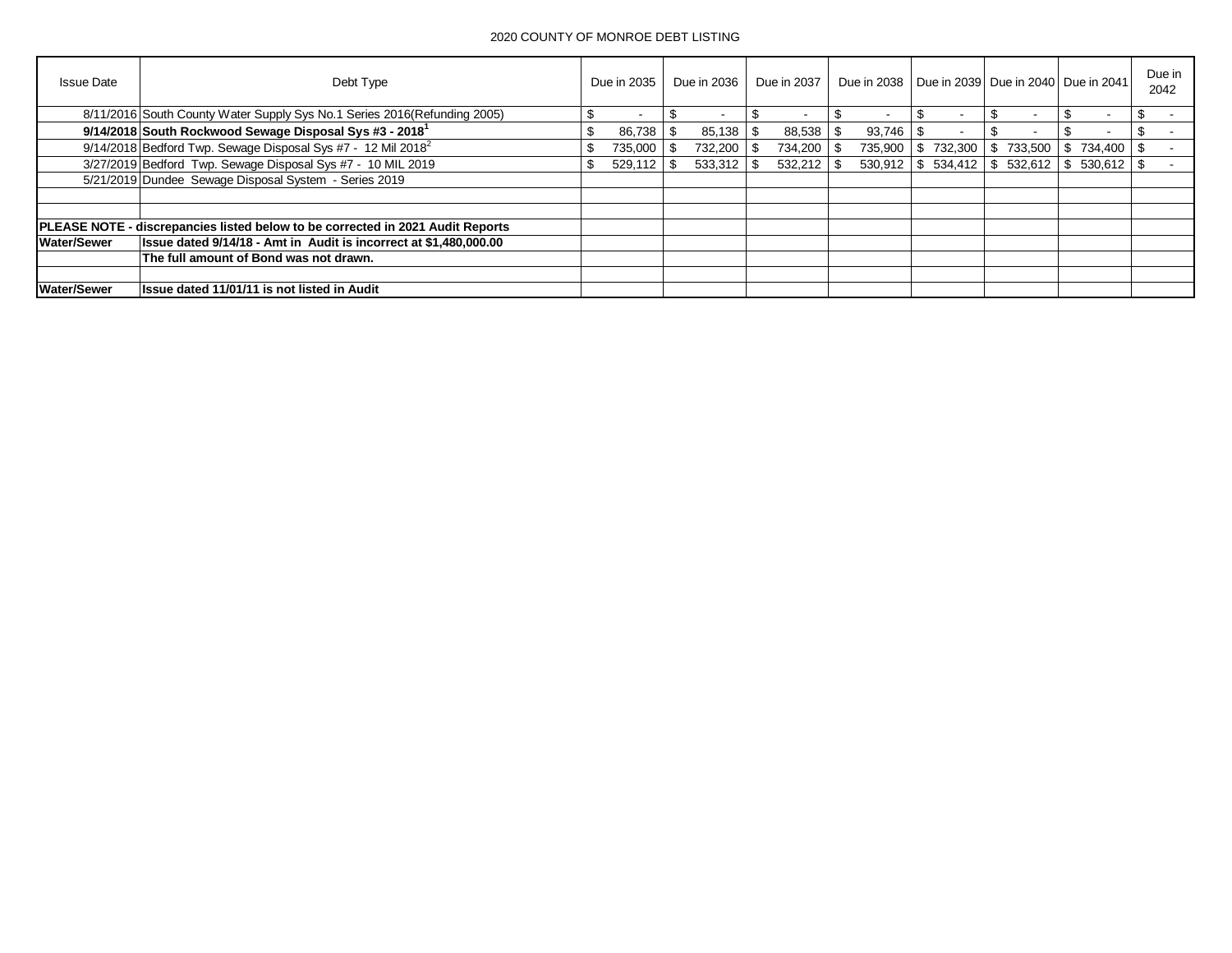| <b>Issue Date</b>  | Debt Type                                                                             | Due in 2035 |         | Due in 2036              |     | Due in 2037 | Due in 2038   Due in 2039   Due in 2040   Due in 2041 |         |     |         |           |              | Due in<br>2042 |
|--------------------|---------------------------------------------------------------------------------------|-------------|---------|--------------------------|-----|-------------|-------------------------------------------------------|---------|-----|---------|-----------|--------------|----------------|
|                    | 8/11/2016 South County Water Supply Sys No.1 Series 2016 (Refunding 2005)             |             |         | $\overline{\phantom{a}}$ | ٩.  |             |                                                       |         |     |         |           |              |                |
|                    | 9/14/2018 South Rockwood Sewage Disposal Sys #3 - 2018 <sup>1</sup>                   | ж.          | 86,738  | 85,138                   | -\$ | 88,538      |                                                       | 93,746  |     |         |           |              |                |
|                    | $9/14/2018$ Bedford Twp. Sewage Disposal Sys #7 - 12 Mil 2018 <sup>2</sup>            | ъ           | 735,000 | 732,200 \ \$             |     | 734,200 \$  |                                                       | 735,900 | \$. | 732.300 | \$733,500 | 734.400 \ \$ |                |
|                    | 3/27/2019 Bedford Twp. Sewage Disposal Sys #7 - 10 MIL 2019                           | \$.         | 529,112 |                          |     | 532,212     |                                                       | 530.912 | \$  | 534,412 | \$532,612 |              |                |
|                    | 5/21/2019 Dundee Sewage Disposal System - Series 2019                                 |             |         |                          |     |             |                                                       |         |     |         |           |              |                |
|                    |                                                                                       |             |         |                          |     |             |                                                       |         |     |         |           |              |                |
|                    |                                                                                       |             |         |                          |     |             |                                                       |         |     |         |           |              |                |
|                    | <b>PLEASE NOTE - discrepancies listed below to be corrected in 2021 Audit Reports</b> |             |         |                          |     |             |                                                       |         |     |         |           |              |                |
| Water/Sewer        | Issue dated 9/14/18 - Amt in Audit is incorrect at \$1,480,000.00                     |             |         |                          |     |             |                                                       |         |     |         |           |              |                |
|                    | The full amount of Bond was not drawn.                                                |             |         |                          |     |             |                                                       |         |     |         |           |              |                |
|                    |                                                                                       |             |         |                          |     |             |                                                       |         |     |         |           |              |                |
| <b>Water/Sewer</b> | Issue dated 11/01/11 is not listed in Audit                                           |             |         |                          |     |             |                                                       |         |     |         |           |              |                |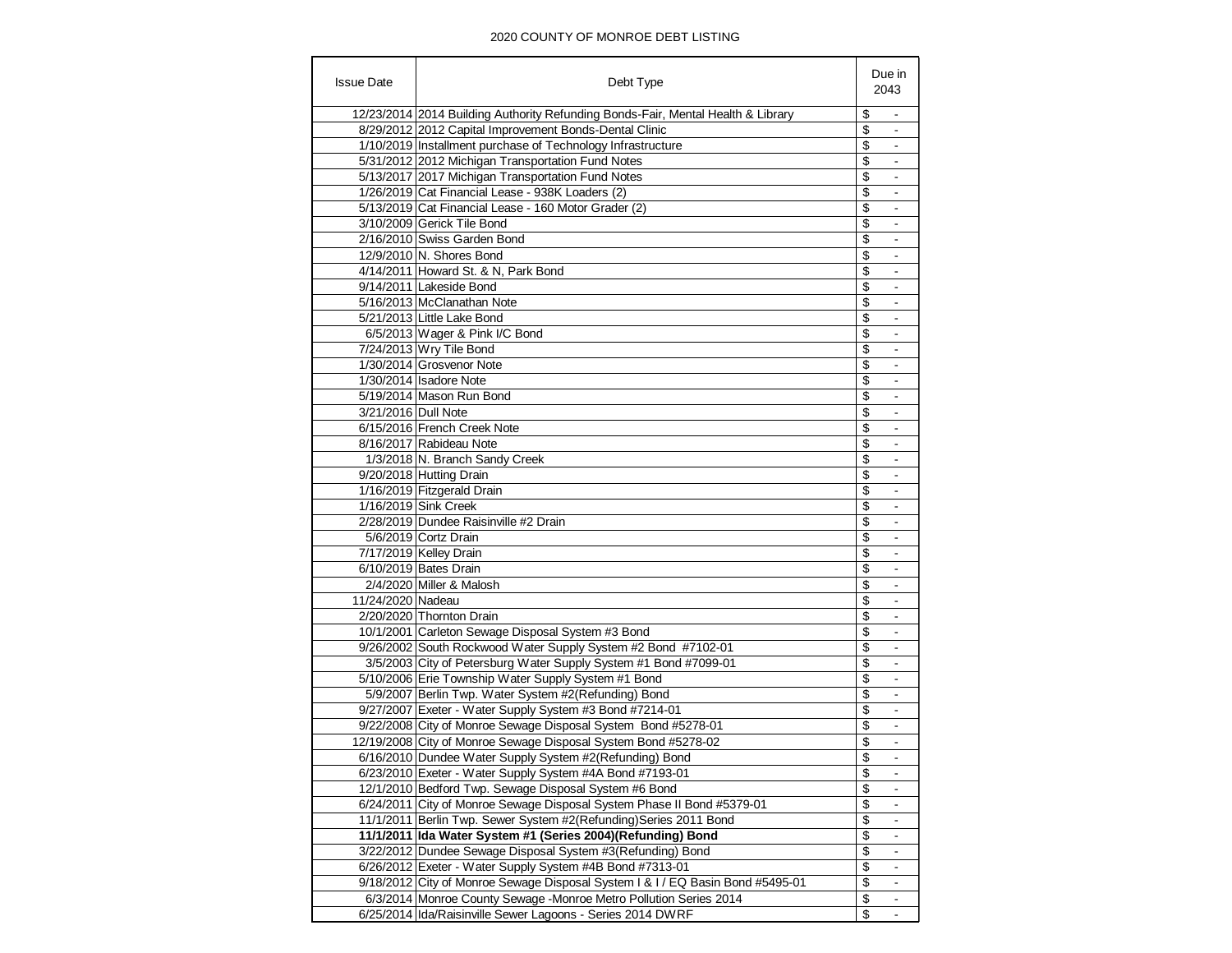| <b>Issue Date</b>   | Debt Type                                                                        | Due in<br>2043                 |
|---------------------|----------------------------------------------------------------------------------|--------------------------------|
|                     | 12/23/2014 2014 Building Authority Refunding Bonds-Fair, Mental Health & Library | \$                             |
|                     | 8/29/2012 2012 Capital Improvement Bonds-Dental Clinic                           | \$<br>$\blacksquare$           |
|                     | 1/10/2019 Installment purchase of Technology Infrastructure                      | \$                             |
|                     | 5/31/2012 2012 Michigan Transportation Fund Notes                                | \$                             |
|                     | 5/13/2017 2017 Michigan Transportation Fund Notes                                | \$<br>$\blacksquare$           |
|                     | 1/26/2019 Cat Financial Lease - 938K Loaders (2)                                 | \$                             |
|                     | 5/13/2019 Cat Financial Lease - 160 Motor Grader (2)                             | \$                             |
|                     | 3/10/2009 Gerick Tile Bond                                                       | \$<br>$\overline{\phantom{a}}$ |
|                     | 2/16/2010 Swiss Garden Bond                                                      | \$                             |
|                     | 12/9/2010 N. Shores Bond                                                         | \$                             |
|                     | 4/14/2011 Howard St. & N, Park Bond                                              | \$                             |
|                     | 9/14/2011 Lakeside Bond                                                          | \$                             |
|                     | 5/16/2013 McClanathan Note                                                       | \$<br>$\overline{a}$           |
|                     | 5/21/2013 Little Lake Bond                                                       | \$                             |
|                     | 6/5/2013 Wager & Pink I/C Bond                                                   | \$<br>$\overline{\phantom{a}}$ |
|                     | 7/24/2013 Wry Tile Bond                                                          | \$<br>$\blacksquare$           |
|                     | 1/30/2014 Grosvenor Note                                                         | \$                             |
|                     | 1/30/2014 Isadore Note                                                           | \$                             |
|                     |                                                                                  |                                |
|                     | 5/19/2014 Mason Run Bond                                                         | \$                             |
| 3/21/2016 Dull Note |                                                                                  | \$                             |
|                     | 6/15/2016 French Creek Note                                                      | \$<br>$\overline{\phantom{a}}$ |
|                     | 8/16/2017 Rabideau Note                                                          | \$                             |
|                     | 1/3/2018 N. Branch Sandy Creek                                                   | \$                             |
|                     | 9/20/2018 Hutting Drain                                                          | \$<br>$\overline{\phantom{a}}$ |
|                     | 1/16/2019 Fitzgerald Drain                                                       | \$<br>$\blacksquare$           |
|                     | 1/16/2019 Sink Creek                                                             | \$                             |
|                     | 2/28/2019 Dundee Raisinville #2 Drain                                            | \$<br>$\blacksquare$           |
|                     | 5/6/2019 Cortz Drain                                                             | \$                             |
|                     | 7/17/2019 Kelley Drain                                                           | \$                             |
|                     | 6/10/2019 Bates Drain                                                            | \$                             |
|                     | 2/4/2020 Miller & Malosh                                                         | \$                             |
| 11/24/2020 Nadeau   |                                                                                  | \$                             |
|                     | 2/20/2020 Thornton Drain                                                         | \$<br>$\blacksquare$           |
|                     | 10/1/2001 Carleton Sewage Disposal System #3 Bond                                | \$                             |
|                     | 9/26/2002 South Rockwood Water Supply System #2 Bond #7102-01                    | \$                             |
|                     | 3/5/2003 City of Petersburg Water Supply System #1 Bond #7099-01                 | \$                             |
|                     | 5/10/2006 Erie Township Water Supply System #1 Bond                              | \$<br>$\overline{\phantom{a}}$ |
|                     | 5/9/2007 Berlin Twp. Water System #2(Refunding) Bond                             | \$                             |
|                     | 9/27/2007 Exeter - Water Supply System #3 Bond #7214-01                          | \$                             |
|                     | 9/22/2008 City of Monroe Sewage Disposal System Bond #5278-01                    | \$<br>$\blacksquare$           |
|                     | 12/19/2008 City of Monroe Sewage Disposal System Bond #5278-02                   | \$<br>$\overline{\phantom{a}}$ |
|                     | 6/16/2010 Dundee Water Supply System #2(Refunding) Bond                          | \$                             |
|                     | 6/23/2010 Exeter - Water Supply System #4A Bond #7193-01                         | \$                             |
|                     | 12/1/2010 Bedford Twp. Sewage Disposal System #6 Bond                            | \$                             |
|                     | 6/24/2011 City of Monroe Sewage Disposal System Phase II Bond #5379-01           | \$                             |
|                     | 11/1/2011 Berlin Twp. Sewer System #2(Refunding) Series 2011 Bond                | \$<br>$\overline{\phantom{a}}$ |
|                     | 11/1/2011 Ida Water System #1 (Series 2004)(Refunding) Bond                      | \$                             |
|                     | 3/22/2012 Dundee Sewage Disposal System #3(Refunding) Bond                       | \$                             |
|                     | 6/26/2012 Exeter - Water Supply System #4B Bond #7313-01                         | \$                             |
|                     | 9/18/2012 City of Monroe Sewage Disposal System I & I / EQ Basin Bond #5495-01   | \$                             |
|                     | 6/3/2014 Monroe County Sewage -Monroe Metro Pollution Series 2014                | \$                             |
|                     | 6/25/2014 Ida/Raisinville Sewer Lagoons - Series 2014 DWRF                       | \$<br>$\blacksquare$           |